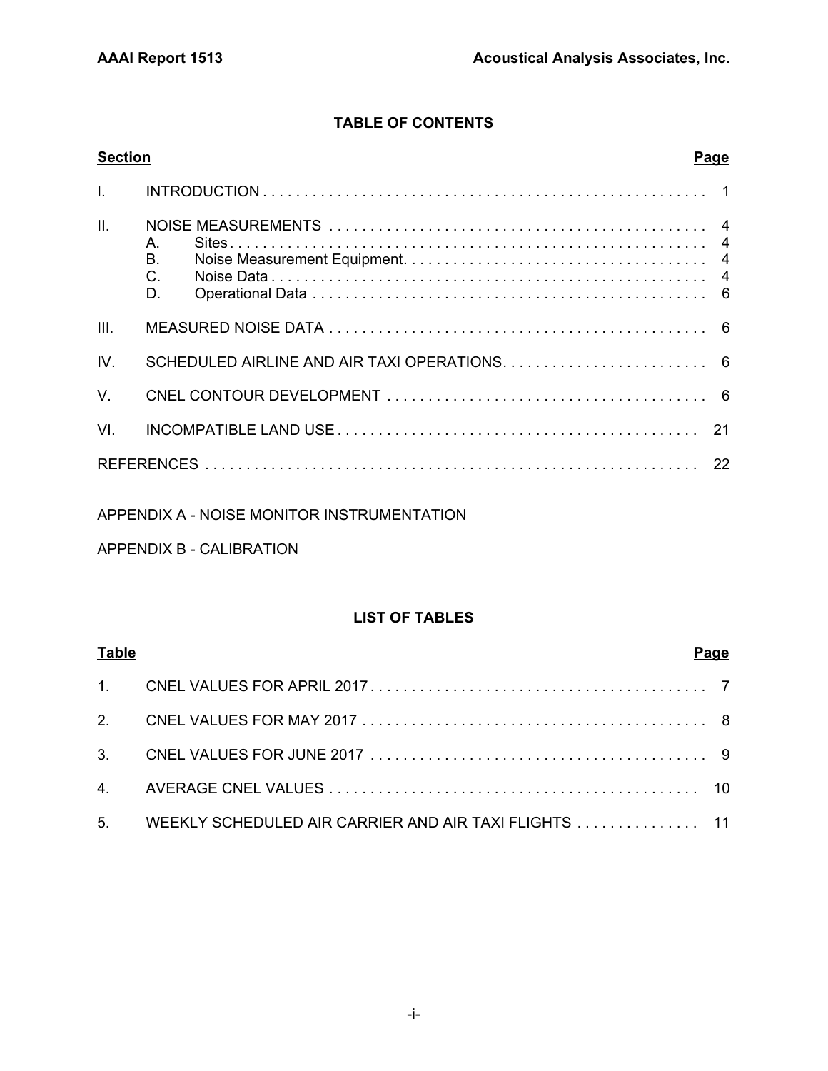# **TABLE OF CONTENTS**

| <b>Section</b> | <b>Page</b>                  |
|----------------|------------------------------|
|                |                              |
| II.            | $A_{1}$<br>Β.<br>$C$ .<br>D. |
| III.           |                              |
| IV.            |                              |
| $V_{\perp}$    |                              |
| VI.            |                              |
|                |                              |

# APPENDIX A - NOISE MONITOR INSTRUMENTATION

# APPENDIX B - CALIBRATION

# **LIST OF TABLES**

| <b>Table</b> |                                                                                                               | Page |
|--------------|---------------------------------------------------------------------------------------------------------------|------|
|              |                                                                                                               |      |
|              |                                                                                                               |      |
|              | 3. CNEL VALUES FOR JUNE 2017 $\ldots$ $\ldots$ $\ldots$ $\ldots$ $\ldots$ $\ldots$ $\ldots$ $\ldots$ $\ldots$ |      |
|              |                                                                                                               |      |
|              | 5. WEEKLY SCHEDULED AIR CARRIER AND AIR TAXI FLIGHTS 11                                                       |      |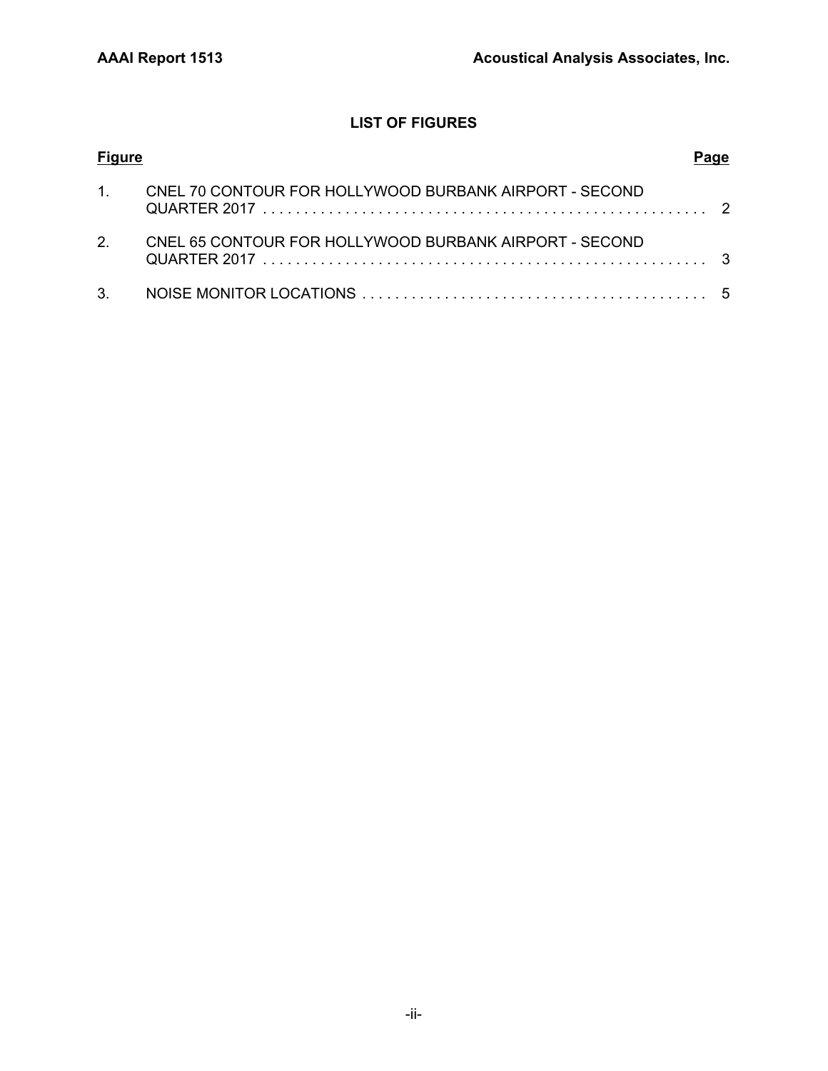# **LIST OF FIGURES**

| <b>Figure</b>  |                                                           |  |
|----------------|-----------------------------------------------------------|--|
|                | 1. CNEL 70 CONTOUR FOR HOLLYWOOD BURBANK AIRPORT - SECOND |  |
| 2 <sub>1</sub> | CNEL 65 CONTOUR FOR HOLLYWOOD BURBANK AIRPORT - SECOND    |  |
|                |                                                           |  |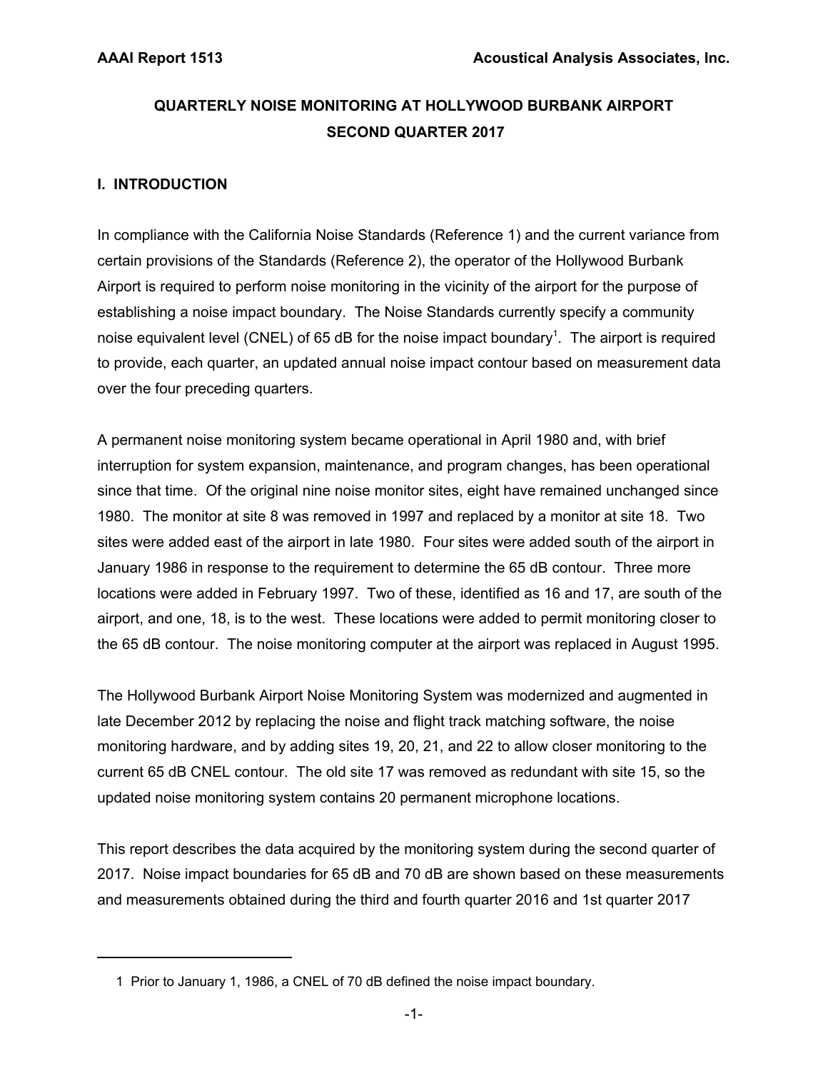# **QUARTERLY NOISE MONITORING AT HOLLYWOOD BURBANK AIRPORT SECOND QUARTER 2017**

# **I. INTRODUCTION**

In compliance with the California Noise Standards (Reference 1) and the current variance from certain provisions of the Standards (Reference 2), the operator of the Hollywood Burbank Airport is required to perform noise monitoring in the vicinity of the airport for the purpose of establishing a noise impact boundary. The Noise Standards currently specify a community noise equivalent level (CNEL) of 65 dB for the noise impact boundary<sup>1</sup>. The airport is required to provide, each quarter, an updated annual noise impact contour based on measurement data over the four preceding quarters.

A permanent noise monitoring system became operational in April 1980 and, with brief interruption for system expansion, maintenance, and program changes, has been operational since that time. Of the original nine noise monitor sites, eight have remained unchanged since 1980. The monitor at site 8 was removed in 1997 and replaced by a monitor at site 18. Two sites were added east of the airport in late 1980. Four sites were added south of the airport in January 1986 in response to the requirement to determine the 65 dB contour. Three more locations were added in February 1997. Two of these, identified as 16 and 17, are south of the airport, and one, 18, is to the west. These locations were added to permit monitoring closer to the 65 dB contour. The noise monitoring computer at the airport was replaced in August 1995.

The Hollywood Burbank Airport Noise Monitoring System was modernized and augmented in late December 2012 by replacing the noise and flight track matching software, the noise monitoring hardware, and by adding sites 19, 20, 21, and 22 to allow closer monitoring to the current 65 dB CNEL contour. The old site 17 was removed as redundant with site 15, so the updated noise monitoring system contains 20 permanent microphone locations.

This report describes the data acquired by the monitoring system during the second quarter of 2017. Noise impact boundaries for 65 dB and 70 dB are shown based on these measurements and measurements obtained during the third and fourth quarter 2016 and 1st quarter 2017

 <sup>1</sup> Prior to January 1, 1986, a CNEL of 70 dB defined the noise impact boundary.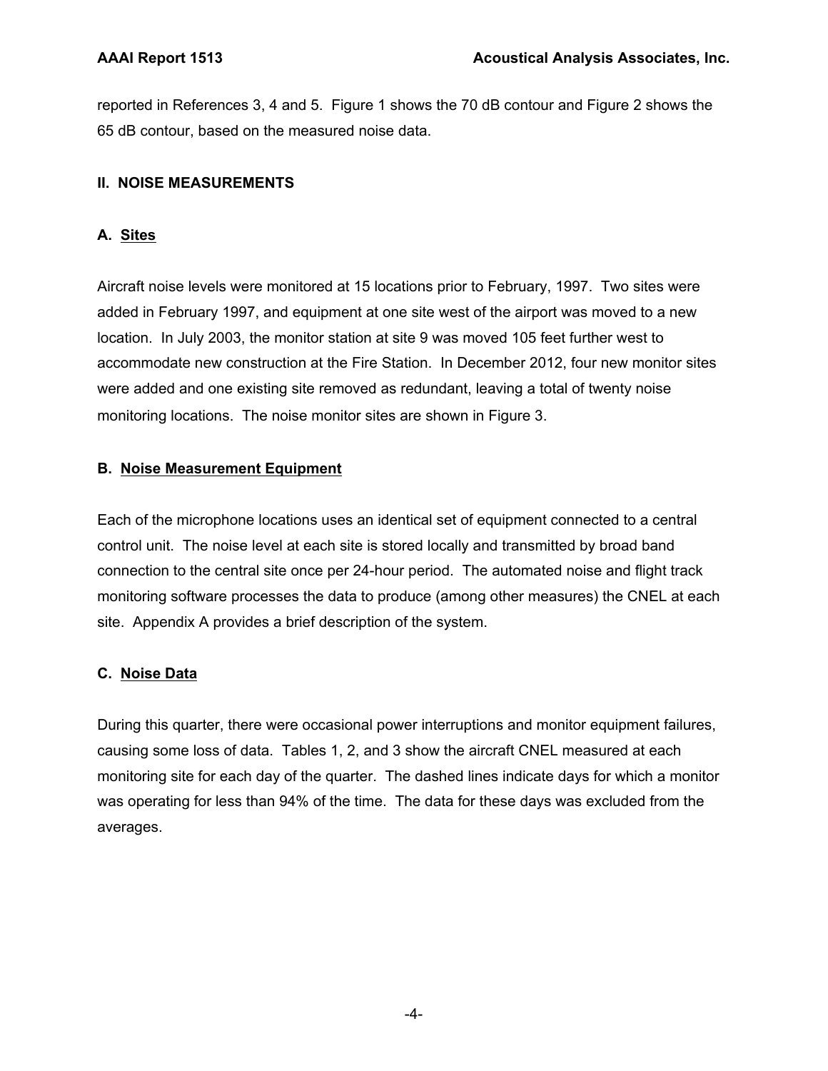reported in References 3, 4 and 5. Figure 1 shows the 70 dB contour and Figure 2 shows the 65 dB contour, based on the measured noise data.

# **II. NOISE MEASUREMENTS**

# **A. Sites**

Aircraft noise levels were monitored at 15 locations prior to February, 1997. Two sites were added in February 1997, and equipment at one site west of the airport was moved to a new location. In July 2003, the monitor station at site 9 was moved 105 feet further west to accommodate new construction at the Fire Station. In December 2012, four new monitor sites were added and one existing site removed as redundant, leaving a total of twenty noise monitoring locations. The noise monitor sites are shown in Figure 3.

# **B. Noise Measurement Equipment**

Each of the microphone locations uses an identical set of equipment connected to a central control unit. The noise level at each site is stored locally and transmitted by broad band connection to the central site once per 24-hour period. The automated noise and flight track monitoring software processes the data to produce (among other measures) the CNEL at each site. Appendix A provides a brief description of the system.

# **C. Noise Data**

During this quarter, there were occasional power interruptions and monitor equipment failures, causing some loss of data. Tables 1, 2, and 3 show the aircraft CNEL measured at each monitoring site for each day of the quarter. The dashed lines indicate days for which a monitor was operating for less than 94% of the time. The data for these days was excluded from the averages.

-4-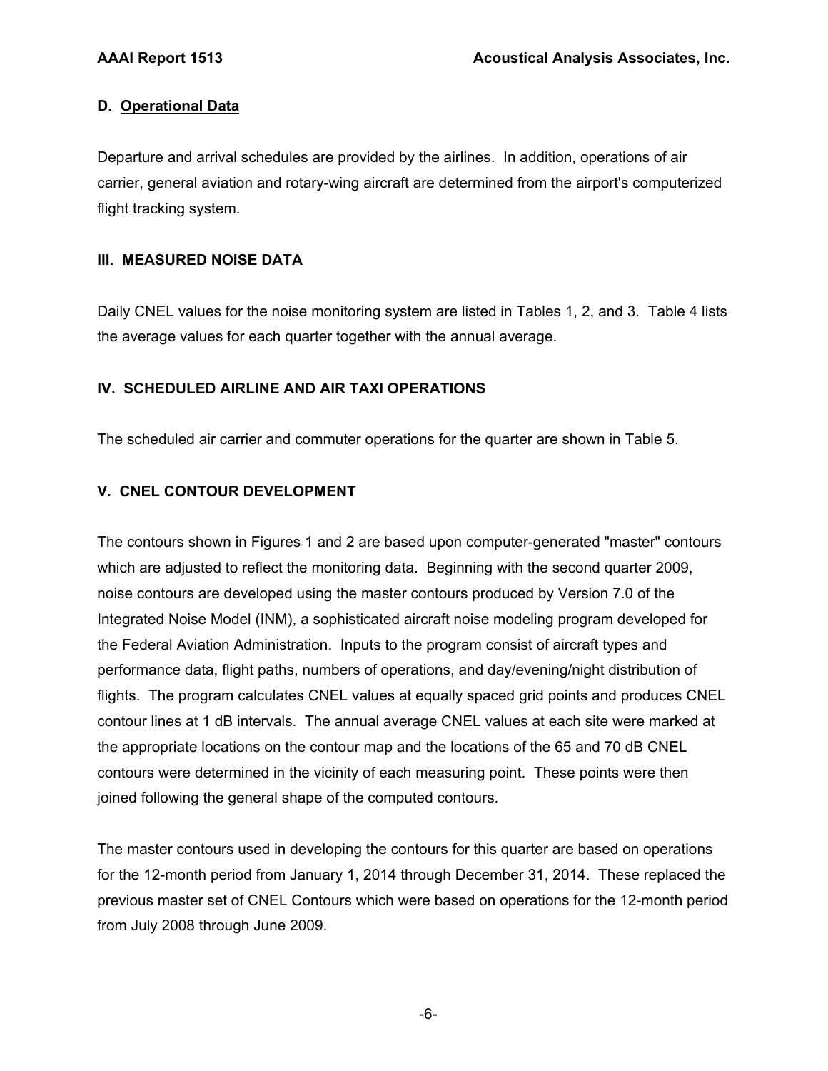# **D. Operational Data**

Departure and arrival schedules are provided by the airlines. In addition, operations of air carrier, general aviation and rotary-wing aircraft are determined from the airport's computerized flight tracking system.

# **III. MEASURED NOISE DATA**

Daily CNEL values for the noise monitoring system are listed in Tables 1, 2, and 3. Table 4 lists the average values for each quarter together with the annual average.

# **IV. SCHEDULED AIRLINE AND AIR TAXI OPERATIONS**

The scheduled air carrier and commuter operations for the quarter are shown in Table 5.

# **V. CNEL CONTOUR DEVELOPMENT**

The contours shown in Figures 1 and 2 are based upon computer-generated "master" contours which are adjusted to reflect the monitoring data. Beginning with the second quarter 2009, noise contours are developed using the master contours produced by Version 7.0 of the Integrated Noise Model (INM), a sophisticated aircraft noise modeling program developed for the Federal Aviation Administration. Inputs to the program consist of aircraft types and performance data, flight paths, numbers of operations, and day/evening/night distribution of flights. The program calculates CNEL values at equally spaced grid points and produces CNEL contour lines at 1 dB intervals. The annual average CNEL values at each site were marked at the appropriate locations on the contour map and the locations of the 65 and 70 dB CNEL contours were determined in the vicinity of each measuring point. These points were then joined following the general shape of the computed contours.

The master contours used in developing the contours for this quarter are based on operations for the 12-month period from January 1, 2014 through December 31, 2014. These replaced the previous master set of CNEL Contours which were based on operations for the 12-month period from July 2008 through June 2009.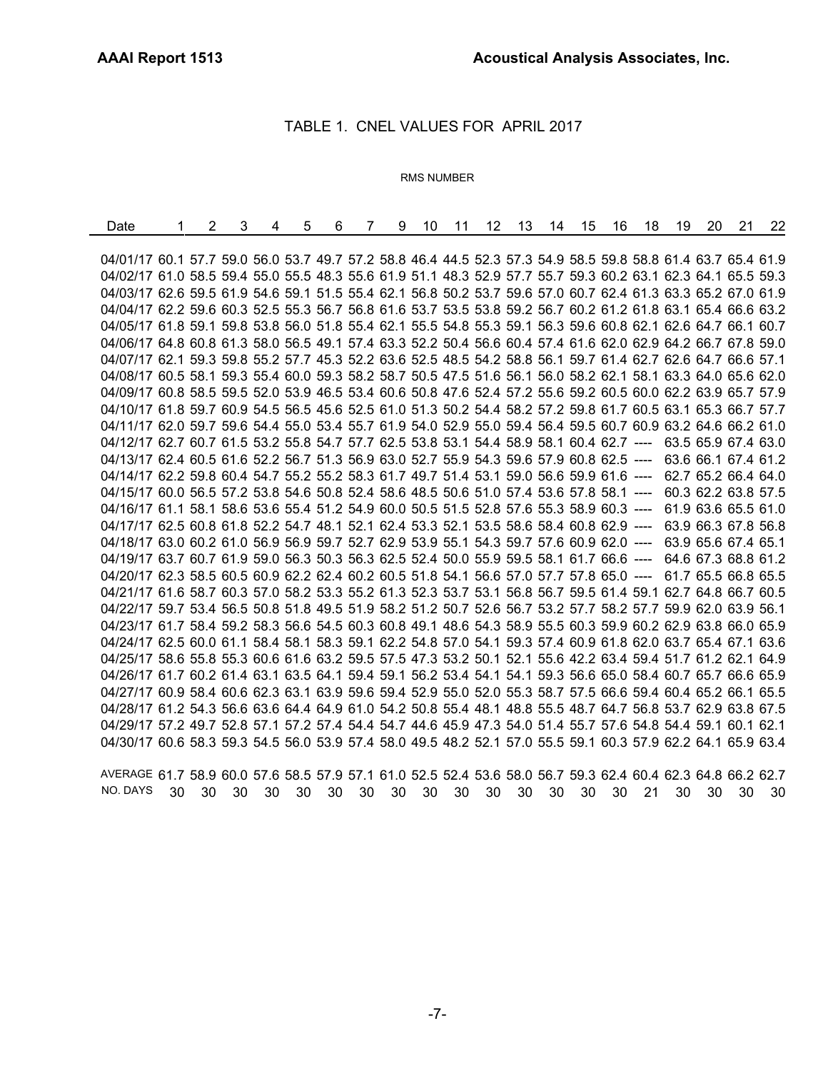# TABLE 1. CNEL VALUES FOR APRIL 2017

# RMS NUMBER

| Date                                                                                                         | 2 | 3 | 4 | 5 | 6 | $\mathbf{7}$ | 9 | 10 | 11 | 12 <sup>1</sup> | 13 | 14 | 15 | 16 | 18 | 19 | -20 | 21                  | 22                  |
|--------------------------------------------------------------------------------------------------------------|---|---|---|---|---|--------------|---|----|----|-----------------|----|----|----|----|----|----|-----|---------------------|---------------------|
|                                                                                                              |   |   |   |   |   |              |   |    |    |                 |    |    |    |    |    |    |     |                     |                     |
| 04/01/17 60.1 57.7 59.0 56.0 53.7 49.7 57.2 58.8 46.4 44.5 52.3 57.3 54.9 58.5 59.8 58.8 61.4 63.7 65.4 61.9 |   |   |   |   |   |              |   |    |    |                 |    |    |    |    |    |    |     |                     |                     |
| 04/02/17 61.0 58.5 59.4 55.0 55.5 48.3 55.6 61.9 51.1 48.3 52.9 57.7 55.7 59.3 60.2 63.1 62.3 64.1 65.5 59.3 |   |   |   |   |   |              |   |    |    |                 |    |    |    |    |    |    |     |                     |                     |
| 04/03/17 62.6 59.5 61.9 54.6 59.1 51.5 55.4 62.1 56.8 50.2 53.7 59.6 57.0 60.7 62.4 61.3 63.3 65.2 67.0 61.9 |   |   |   |   |   |              |   |    |    |                 |    |    |    |    |    |    |     |                     |                     |
| 04/04/17 62.2 59.6 60.3 52.5 55.3 56.7 56.8 61.6 53.7 53.5 53.8 59.2 56.7 60.2 61.2 61.8 63.1 65.4 66.6 63.2 |   |   |   |   |   |              |   |    |    |                 |    |    |    |    |    |    |     |                     |                     |
| 04/05/17 61.8 59.1 59.8 53.8 56.0 51.8 55.4 62.1 55.5 54.8 55.3 59.1 56.3 59.6 60.8 62.1 62.6 64.7 66.1 60.7 |   |   |   |   |   |              |   |    |    |                 |    |    |    |    |    |    |     |                     |                     |
| 04/06/17 64.8 60.8 61.3 58.0 56.5 49.1 57.4 63.3 52.2 50.4 56.6 60.4 57.4 61.6 62.0 62.9 64.2 66.7 67.8 59.0 |   |   |   |   |   |              |   |    |    |                 |    |    |    |    |    |    |     |                     |                     |
| 04/07/17 62.1 59.3 59.8 55.2 57.7 45.3 52.2 63.6 52.5 48.5 54.2 58.8 56.1 59.7 61.4 62.7 62.6 64.7 66.6 57.1 |   |   |   |   |   |              |   |    |    |                 |    |    |    |    |    |    |     |                     |                     |
| 04/08/17 60.5 58.1 59.3 55.4 60.0 59.3 58.2 58.7 50.5 47.5 51.6 56.1 56.0 58.2 62.1 58.1 63.3 64.0 65.6 62.0 |   |   |   |   |   |              |   |    |    |                 |    |    |    |    |    |    |     |                     |                     |
| 04/09/17 60.8 58.5 59.5 52.0 53.9 46.5 53.4 60.6 50.8 47.6 52.4 57.2 55.6 59.2 60.5 60.0 62.2 63.9 65.7 57.9 |   |   |   |   |   |              |   |    |    |                 |    |    |    |    |    |    |     |                     |                     |
| 04/10/17 61.8 59.7 60.9 54.5 56.5 45.6 52.5 61.0 51.3 50.2 54.4 58.2 57.2 59.8 61.7 60.5 63.1 65.3 66.7 57.7 |   |   |   |   |   |              |   |    |    |                 |    |    |    |    |    |    |     |                     |                     |
| 04/11/17 62.0 59.7 59.6 54.4 55.0 53.4 55.7 61.9 54.0 52.9 55.0 59.4 56.4 59.5 60.7 60.9 63.2 64.6 66.2 61.0 |   |   |   |   |   |              |   |    |    |                 |    |    |    |    |    |    |     |                     |                     |
| 04/12/17 62.7 60.7 61.5 53.2 55.8 54.7 57.7 62.5 53.8 53.1 54.4 58.9 58.1 60.4 62.7 ----                     |   |   |   |   |   |              |   |    |    |                 |    |    |    |    |    |    |     | 63.5 65.9 67.4 63.0 |                     |
| 04/13/17 62.4 60.5 61.6 52.2 56.7 51.3 56.9 63.0 52.7 55.9 54.3 59.6 57.9 60.8 62.5 ----                     |   |   |   |   |   |              |   |    |    |                 |    |    |    |    |    |    |     |                     | 63.6 66.1 67.4 61.2 |
| 04/14/17 62.2 59.8 60.4 54.7 55.2 55.2 58.3 61.7 49.7 51.4 53.1 59.0 56.6 59.9 61.6 ----                     |   |   |   |   |   |              |   |    |    |                 |    |    |    |    |    |    |     |                     | 62.7 65.2 66.4 64.0 |
| 04/15/17 60.0 56.5 57.2 53.8 54.6 50.8 52.4 58.6 48.5 50.6 51.0 57.4 53.6 57.8 58.1 ----                     |   |   |   |   |   |              |   |    |    |                 |    |    |    |    |    |    |     | 60.3 62.2 63.8 57.5 |                     |
| 04/16/17 61.1 58.1 58.6 53.6 55.4 51.2 54.9 60.0 50.5 51.5 52.8 57.6 55.3 58.9 60.3 ----                     |   |   |   |   |   |              |   |    |    |                 |    |    |    |    |    |    |     | 61.9 63.6 65.5 61.0 |                     |
| 04/17/17 62.5 60.8 61.8 52.2 54.7 48.1 52.1 62.4 53.3 52.1 53.5 58.6 58.4 60.8 62.9 ----                     |   |   |   |   |   |              |   |    |    |                 |    |    |    |    |    |    |     |                     | 63.9 66.3 67.8 56.8 |
| 04/18/17 63.0 60.2 61.0 56.9 56.9 59.7 52.7 62.9 53.9 55.1 54.3 59.7 57.6 60.9 62.0 ----                     |   |   |   |   |   |              |   |    |    |                 |    |    |    |    |    |    |     | 63.9 65.6 67.4 65.1 |                     |
| 04/19/17 63.7 60.7 61.9 59.0 56.3 50.3 56.3 62.5 52.4 50.0 55.9 59.5 58.1 61.7 66.6 ----                     |   |   |   |   |   |              |   |    |    |                 |    |    |    |    |    |    |     | 64.6 67.3 68.8 61.2 |                     |
| 04/20/17 62.3 58.5 60.5 60.9 62.2 62.4 60.2 60.5 51.8 54.1 56.6 57.0 57.7 57.8 65.0 ----                     |   |   |   |   |   |              |   |    |    |                 |    |    |    |    |    |    |     | 61.7 65.5 66.8 65.5 |                     |
| 04/21/17 61.6 58.7 60.3 57.0 58.2 53.3 55.2 61.3 52.3 53.7 53.1 56.8 56.7 59.5 61.4 59.1 62.7 64.8 66.7 60.5 |   |   |   |   |   |              |   |    |    |                 |    |    |    |    |    |    |     |                     |                     |
| 04/22/17 59.7 53.4 56.5 50.8 51.8 49.5 51.9 58.2 51.2 50.7 52.6 56.7 53.2 57.7 58.2 57.7 59.9 62.0 63.9 56.1 |   |   |   |   |   |              |   |    |    |                 |    |    |    |    |    |    |     |                     |                     |
| 04/23/17 61.7 58.4 59.2 58.3 56.6 54.5 60.3 60.8 49.1 48.6 54.3 58.9 55.5 60.3 59.9 60.2 62.9 63.8 66.0 65.9 |   |   |   |   |   |              |   |    |    |                 |    |    |    |    |    |    |     |                     |                     |
| 04/24/17 62.5 60.0 61.1 58.4 58.1 58.3 59.1 62.2 54.8 57.0 54.1 59.3 57.4 60.9 61.8 62.0 63.7 65.4 67.1 63.6 |   |   |   |   |   |              |   |    |    |                 |    |    |    |    |    |    |     |                     |                     |
| 04/25/17 58.6 55.8 55.3 60.6 61.6 63.2 59.5 57.5 47.3 53.2 50.1 52.1 55.6 42.2 63.4 59.4 51.7 61.2 62.1 64.9 |   |   |   |   |   |              |   |    |    |                 |    |    |    |    |    |    |     |                     |                     |
| 04/26/17 61.7 60.2 61.4 63.1 63.5 64.1 59.4 59.1 56.2 53.4 54.1 54.1 59.3 56.6 65.0 58.4 60.7 65.7 66.6 65.9 |   |   |   |   |   |              |   |    |    |                 |    |    |    |    |    |    |     |                     |                     |
| 04/27/17 60.9 58.4 60.6 62.3 63.1 63.9 59.6 59.4 52.9 55.0 52.0 55.3 58.7 57.5 66.6 59.4 60.4 65.2 66.1 65.5 |   |   |   |   |   |              |   |    |    |                 |    |    |    |    |    |    |     |                     |                     |
| 04/28/17 61.2 54.3 56.6 63.6 64.4 64.9 61.0 54.2 50.8 55.4 48.1 48.8 55.5 48.7 64.7 56.8 53.7 62.9 63.8 67.5 |   |   |   |   |   |              |   |    |    |                 |    |    |    |    |    |    |     |                     |                     |
| 04/29/17 57.2 49.7 52.8 57.1 57.2 57.4 54.4 54.7 44.6 45.9 47.3 54.0 51.4 55.7 57.6 54.8 54.4 59.1 60.1 62.1 |   |   |   |   |   |              |   |    |    |                 |    |    |    |    |    |    |     |                     |                     |
| 04/30/17 60.6 58.3 59.3 54.5 56.0 53.9 57.4 58.0 49.5 48.2 52.1 57.0 55.5 59.1 60.3 57.9 62.2 64.1 65.9 63.4 |   |   |   |   |   |              |   |    |    |                 |    |    |    |    |    |    |     |                     |                     |

AVERAGE 61.7 58.9 60.0 57.6 58.5 57.9 57.1 61.0 52.5 52.4 53.6 58.0 56.7 59.3 62.4 60.4 62.3 64.8 66.2 62.7 NO. DAYS 30 30 30 30 30 30 30 30 30 30 30 30 30 30 30 21 30 30 30 30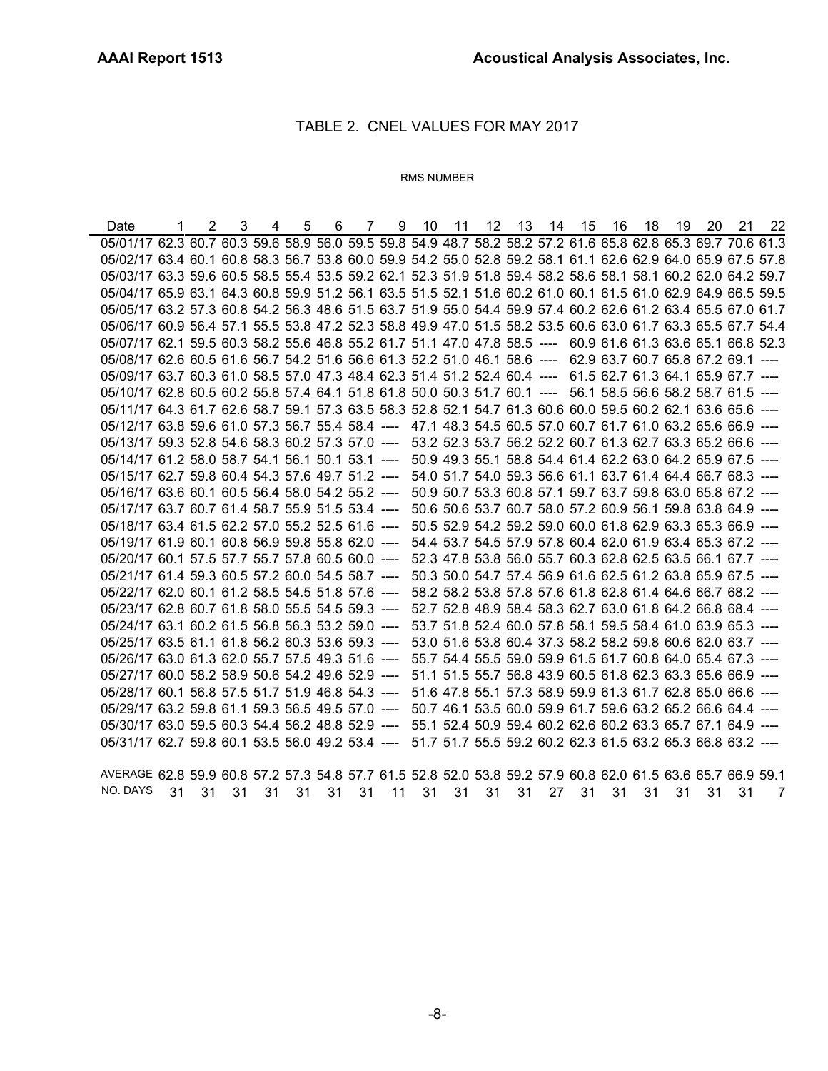# TABLE 2. CNEL VALUES FOR MAY 2017

## RMS NUMBER

Date 1 2 3 4 5 6 7 9 10 11 12 13 14 15 16 18 19 20 21 22 05/01/17 62.3 60.7 60.3 59.6 58.9 56.0 59.5 59.8 54.9 48.7 58.2 58.2 57.2 61.6 65.8 62.8 65.3 69.7 70.6 61.3 05/02/17 63.4 60.1 60.8 58.3 56.7 53.8 60.0 59.9 54.2 55.0 52.8 59.2 58.1 61.1 62.6 62.9 64.0 65.9 67.5 57.8 05/03/17 63.3 59.6 60.5 58.5 55.4 53.5 59.2 62.1 52.3 51.9 51.8 59.4 58.2 58.6 58.1 58.1 60.2 62.0 64.2 59.7 05/04/17 65.9 63.1 64.3 60.8 59.9 51.2 56.1 63.5 51.5 52.1 51.6 60.2 61.0 60.1 61.5 61.0 62.9 64.9 66.5 59.5 05/05/17 63.2 57.3 60.8 54.2 56.3 48.6 51.5 63.7 51.9 55.0 54.4 59.9 57.4 60.2 62.6 61.2 63.4 65.5 67.0 61.7 05/06/17 60.9 56.4 57.1 55.5 53.8 47.2 52.3 58.8 49.9 47.0 51.5 58.2 53.5 60.6 63.0 61.7 63.3 65.5 67.7 54.4 05/07/17 62.1 59.5 60.3 58.2 55.6 46.8 55.2 61.7 51.1 47.0 47.8 58.5 ---- 60.9 61.6 61.3 63.6 65.1 66.8 52.3 05/08/17 62.6 60.5 61.6 56.7 54.2 51.6 56.6 61.3 52.2 51.0 46.1 58.6 ---- 62.9 63.7 60.7 65.8 67.2 69.1 ---- 05/09/17 63.7 60.3 61.0 58.5 57.0 47.3 48.4 62.3 51.4 51.2 52.4 60.4 ---- 61.5 62.7 61.3 64.1 65.9 67.7 ---- 05/10/17 62.8 60.5 60.2 55.8 57.4 64.1 51.8 61.8 50.0 50.3 51.7 60.1 ---- 56.1 58.5 56.6 58.2 58.7 61.5 ---- 05/11/17 64.3 61.7 62.6 58.7 59.1 57.3 63.5 58.3 52.8 52.1 54.7 61.3 60.6 60.0 59.5 60.2 62.1 63.6 65.6 ---- 05/12/17 63.8 59.6 61.0 57.3 56.7 55.4 58.4 ---- 47.1 48.3 54.5 60.5 57.0 60.7 61.7 61.0 63.2 65.6 66.9 ---- 05/13/17 59.3 52.8 54.6 58.3 60.2 57.3 57.0 ---- 53.2 52.3 53.7 56.2 52.2 60.7 61.3 62.7 63.3 65.2 66.6 ----05/14/17 61.2 58.0 58.7 54.1 56.1 50.1 53.1 ---- 50.9 49.3 55.1 58.8 54.4 61.4 62.2 63.0 64.2 65.9 67.5 ---- 05/15/17 62.7 59.8 60.4 54.3 57.6 49.7 51.2 ---- 54.0 51.7 54.0 59.3 56.6 61.1 63.7 61.4 64.4 66.7 68.3 ---- 05/16/17 63.6 60.1 60.5 56.4 58.0 54.2 55.2 ---- 50.9 50.7 53.3 60.8 57.1 59.7 63.7 59.8 63.0 65.8 67.2 ----05/17/17 63.7 60.7 61.4 58.7 55.9 51.5 53.4 ---- 50.6 50.6 53.7 60.7 58.0 57.2 60.9 56.1 59.8 63.8 64.9 ---- 05/18/17 63.4 61.5 62.2 57.0 55.2 52.5 61.6 ---- 50.5 52.9 54.2 59.2 59.0 60.0 61.8 62.9 63.3 65.3 66.9 ----05/19/17 61.9 60.1 60.8 56.9 59.8 55.8 62.0 ---- 54.4 53.7 54.5 57.9 57.8 60.4 62.0 61.9 63.4 65.3 67.2 ---- 05/20/17 60.1 57.5 57.7 55.7 57.8 60.5 60.0 ---- 52.3 47.8 53.8 56.0 55.7 60.3 62.8 62.5 63.5 66.1 67.7 ---- 05/21/17 61.4 59.3 60.5 57.2 60.0 54.5 58.7 ---- 50.3 50.0 54.7 57.4 56.9 61.6 62.5 61.2 63.8 65.9 67.5 ---- 05/22/17 62.0 60.1 61.2 58.5 54.5 51.8 57.6 ---- 58.2 58.2 53.8 57.8 57.6 61.8 62.8 61.4 64.6 66.7 68.2 ---- 05/23/17 62.8 60.7 61.8 58.0 55.5 54.5 59.3 ---- 52.7 52.8 48.9 58.4 58.3 62.7 63.0 61.8 64.2 66.8 68.4 ---- 05/24/17 63.1 60.2 61.5 56.8 56.3 53.2 59.0 ---- 53.7 51.8 52.4 60.0 57.8 58.1 59.5 58.4 61.0 63.9 65.3 ---- 05/25/17 63.5 61.1 61.8 56.2 60.3 53.6 59.3 ---- 53.0 51.6 53.8 60.4 37.3 58.2 58.2 59.8 60.6 62.0 63.7 ---- 05/26/17 63.0 61.3 62.0 55.7 57.5 49.3 51.6 ---- 55.7 54.4 55.5 59.0 59.9 61.5 61.7 60.8 64.0 65.4 67.3 ----05/27/17 60.0 58.2 58.9 50.6 54.2 49.6 52.9 ---- 51.1 51.5 55.7 56.8 43.9 60.5 61.8 62.3 63.3 65.6 66.9 ----05/28/17 60.1 56.8 57.5 51.7 51.9 46.8 54.3 ---- 51.6 47.8 55.1 57.3 58.9 59.9 61.3 61.7 62.8 65.0 66.6 ----05/29/17 63.2 59.8 61.1 59.3 56.5 49.5 57.0 ---- 50.7 46.1 53.5 60.0 59.9 61.7 59.6 63.2 65.2 66.6 64.4 ---- 05/30/17 63.0 59.5 60.3 54.4 56.2 48.8 52.9 ---- 55.1 52.4 50.9 59.4 60.2 62.6 60.2 63.3 65.7 67.1 64.9 ----05/31/17 62.7 59.8 60.1 53.5 56.0 49.2 53.4 ---- 51.7 51.7 55.5 59.2 60.2 62.3 61.5 63.2 65.3 66.8 63.2 ----

AVERAGE 62.8 59.9 60.8 57.2 57.3 54.8 57.7 61.5 52.8 52.0 53.8 59.2 57.9 60.8 62.0 61.5 63.6 65.7 66.9 59.1 NO. DAYS 31 31 31 31 31 31 31 11 31 31 31 31 27 31 31 31 31 31 31 7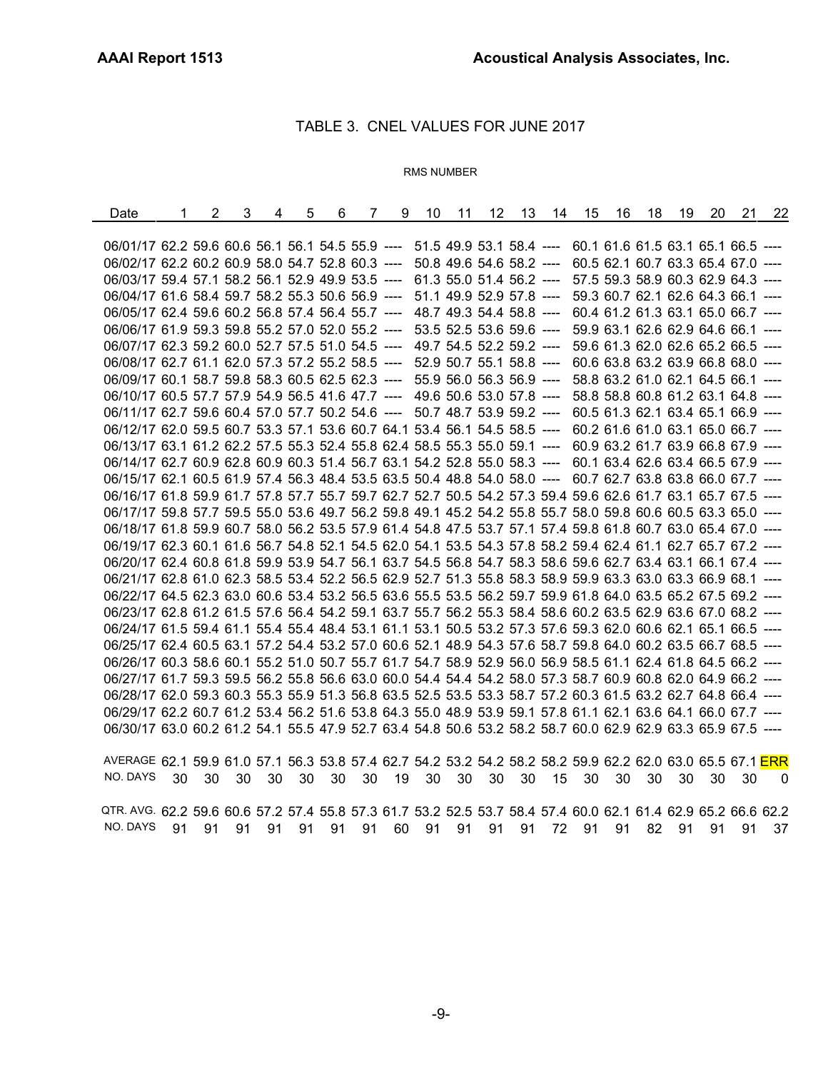# TABLE 3. CNEL VALUES FOR JUNE 2017

# RMS NUMBER

| Date                                                                                                         | 1 | 2 | 3 | 4 | 5 | 6 | $\overline{7}$ | 9 | 10 | 11 | 12                       | 13 | 14 | 15 | 16 | 18 | 19 | 20 | 21                                 | 22 |
|--------------------------------------------------------------------------------------------------------------|---|---|---|---|---|---|----------------|---|----|----|--------------------------|----|----|----|----|----|----|----|------------------------------------|----|
|                                                                                                              |   |   |   |   |   |   |                |   |    |    |                          |    |    |    |    |    |    |    |                                    |    |
| 06/01/17 62.2 59.6 60.6 56.1 56.1 54.5 55.9 ---- 51.5 49.9 53.1 58.4 ---- 60.1 61.6 61.5 63.1 65.1 66.5 ---- |   |   |   |   |   |   |                |   |    |    |                          |    |    |    |    |    |    |    |                                    |    |
| 06/02/17 62.2 60.2 60.9 58.0 54.7 52.8 60.3 ---- 50.8 49.6 54.6 58.2 ----                                    |   |   |   |   |   |   |                |   |    |    |                          |    |    |    |    |    |    |    | 60.5 62.1 60.7 63.3 65.4 67.0 ---- |    |
| 06/03/17 59.4 57.1 58.2 56.1 52.9 49.9 53.5 ----                                                             |   |   |   |   |   |   |                |   |    |    | 61.3 55.0 51.4 56.2 ---- |    |    |    |    |    |    |    | 57.5 59.3 58.9 60.3 62.9 64.3 ---- |    |
| 06/04/17 61.6 58.4 59.7 58.2 55.3 50.6 56.9 ----                                                             |   |   |   |   |   |   |                |   |    |    | 51.1 49.9 52.9 57.8 ---- |    |    |    |    |    |    |    | 59.3 60.7 62.1 62.6 64.3 66.1 ---- |    |
| 06/05/17 62.4 59.6 60.2 56.8 57.4 56.4 55.7 ---- 48.7 49.3 54.4 58.8 ----                                    |   |   |   |   |   |   |                |   |    |    |                          |    |    |    |    |    |    |    | 60.4 61.2 61.3 63.1 65.0 66.7 ---- |    |
| 06/06/17 61.9 59.3 59.8 55.2 57.0 52.0 55.2 ----                                                             |   |   |   |   |   |   |                |   |    |    | 53.5 52.5 53.6 59.6 ---- |    |    |    |    |    |    |    | 59.9 63.1 62.6 62.9 64.6 66.1 ---- |    |
| 06/07/17 62.3 59.2 60.0 52.7 57.5 51.0 54.5 ---- 49.7 54.5 52.2 59.2 ----                                    |   |   |   |   |   |   |                |   |    |    |                          |    |    |    |    |    |    |    | 59.6 61.3 62.0 62.6 65.2 66.5 ---- |    |
| 06/08/17 62.7 61.1 62.0 57.3 57.2 55.2 58.5 ---- 52.9 50.7 55.1 58.8 ----                                    |   |   |   |   |   |   |                |   |    |    |                          |    |    |    |    |    |    |    | 60.6 63.8 63.2 63.9 66.8 68.0 ---- |    |
| 06/09/17 60.1 58.7 59.8 58.3 60.5 62.5 62.3 ----                                                             |   |   |   |   |   |   |                |   |    |    | 55.9 56.0 56.3 56.9 ---- |    |    |    |    |    |    |    | 58.8 63.2 61.0 62.1 64.5 66.1 ---- |    |
| 06/10/17 60.5 57.7 57.9 54.9 56.5 41.6 47.7 ---- 49.6 50.6 53.0 57.8 ----                                    |   |   |   |   |   |   |                |   |    |    |                          |    |    |    |    |    |    |    | 58.8 58.8 60.8 61.2 63.1 64.8 ---- |    |
| 06/11/17 62.7 59.6 60.4 57.0 57.7 50.2 54.6 ---- 50.7 48.7 53.9 59.2 ----                                    |   |   |   |   |   |   |                |   |    |    |                          |    |    |    |    |    |    |    | 60.5 61.3 62.1 63.4 65.1 66.9 ---- |    |
| 06/12/17 62.0 59.5 60.7 53.3 57.1 53.6 60.7 64.1 53.4 56.1 54.5 58.5 ----                                    |   |   |   |   |   |   |                |   |    |    |                          |    |    |    |    |    |    |    | 60.2 61.6 61.0 63.1 65.0 66.7 ---- |    |
| 06/13/17 63.1 61.2 62.2 57.5 55.3 52.4 55.8 62.4 58.5 55.3 55.0 59.1 ---                                     |   |   |   |   |   |   |                |   |    |    |                          |    |    |    |    |    |    |    | 60.9 63.2 61.7 63.9 66.8 67.9 ---  |    |
| 06/14/17 62.7 60.9 62.8 60.9 60.3 51.4 56.7 63.1 54.2 52.8 55.0 58.3 ---- 60.1 63.4 62.6 63.4 66.5 67.9 ---- |   |   |   |   |   |   |                |   |    |    |                          |    |    |    |    |    |    |    |                                    |    |
| 06/15/17 62.1 60.5 61.9 57.4 56.3 48.4 53.5 63.5 50.4 48.8 54.0 58.0 ----                                    |   |   |   |   |   |   |                |   |    |    |                          |    |    |    |    |    |    |    | 60.7 62.7 63.8 63.8 66.0 67.7 ---- |    |
| 06/16/17 61.8 59.9 61.7 57.8 57.7 55.7 59.7 62.7 52.7 50.5 54.2 57.3 59.4 59.6 62.6 61.7 63.1 65.7 67.5 ---- |   |   |   |   |   |   |                |   |    |    |                          |    |    |    |    |    |    |    |                                    |    |
| 06/17/17 59.8 57.7 59.5 55.0 53.6 49.7 56.2 59.8 49.1 45.2 54.2 55.8 55.7 58.0 59.8 60.6 60.5 63.3 65.0 ---- |   |   |   |   |   |   |                |   |    |    |                          |    |    |    |    |    |    |    |                                    |    |
| 06/18/17 61.8 59.9 60.7 58.0 56.2 53.5 57.9 61.4 54.8 47.5 53.7 57.1 57.4 59.8 61.8 60.7 63.0 65.4 67.0 ---- |   |   |   |   |   |   |                |   |    |    |                          |    |    |    |    |    |    |    |                                    |    |
| 06/19/17 62.3 60.1 61.6 56.7 54.8 52.1 54.5 62.0 54.1 53.5 54.3 57.8 58.2 59.4 62.4 61.1 62.7 65.7 67.2 ---- |   |   |   |   |   |   |                |   |    |    |                          |    |    |    |    |    |    |    |                                    |    |
| 06/20/17 62.4 60.8 61.8 59.9 53.9 54.7 56.1 63.7 54.5 56.8 54.7 58.3 58.6 59.6 62.7 63.4 63.1 66.1 67.4 ---- |   |   |   |   |   |   |                |   |    |    |                          |    |    |    |    |    |    |    |                                    |    |
| 06/21/17 62.8 61.0 62.3 58.5 53.4 52.2 56.5 62.9 52.7 51.3 55.8 58.3 58.9 59.9 63.3 63.0 63.3 66.9 68.1 ---- |   |   |   |   |   |   |                |   |    |    |                          |    |    |    |    |    |    |    |                                    |    |
| 06/22/17 64.5 62.3 63.0 60.6 53.4 53.2 56.5 63.6 55.5 53.5 56.2 59.7 59.9 61.8 64.0 63.5 65.2 67.5 69.2 ---- |   |   |   |   |   |   |                |   |    |    |                          |    |    |    |    |    |    |    |                                    |    |
| 06/23/17 62.8 61.2 61.5 57.6 56.4 54.2 59.1 63.7 55.7 56.2 55.3 58.4 58.6 60.2 63.5 62.9 63.6 67.0 68.2 ---- |   |   |   |   |   |   |                |   |    |    |                          |    |    |    |    |    |    |    |                                    |    |
| 06/24/17 61.5 59.4 61.1 55.4 55.4 48.4 53.1 61.1 53.1 50.5 53.2 57.3 57.6 59.3 62.0 60.6 62.1 65.1 66.5 ---- |   |   |   |   |   |   |                |   |    |    |                          |    |    |    |    |    |    |    |                                    |    |
| 06/25/17 62.4 60.5 63.1 57.2 54.4 53.2 57.0 60.6 52.1 48.9 54.3 57.6 58.7 59.8 64.0 60.2 63.5 66.7 68.5 ---- |   |   |   |   |   |   |                |   |    |    |                          |    |    |    |    |    |    |    |                                    |    |
| 06/26/17 60.3 58.6 60.1 55.2 51.0 50.7 55.7 61.7 54.7 58.9 52.9 56.0 56.9 58.5 61.1 62.4 61.8 64.5 66.2 ---- |   |   |   |   |   |   |                |   |    |    |                          |    |    |    |    |    |    |    |                                    |    |
| 06/27/17 61.7 59.3 59.5 56.2 55.8 56.6 63.0 60.0 54.4 54.4 54.2 58.0 57.3 58.7 60.9 60.8 62.0 64.9 66.2 ---- |   |   |   |   |   |   |                |   |    |    |                          |    |    |    |    |    |    |    |                                    |    |
| 06/28/17 62.0 59.3 60.3 55.3 55.9 51.3 56.8 63.5 52.5 53.5 53.3 58.7 57.2 60.3 61.5 63.2 62.7 64.8 66.4 ---- |   |   |   |   |   |   |                |   |    |    |                          |    |    |    |    |    |    |    |                                    |    |
| 06/29/17 62.2 60.7 61.2 53.4 56.2 51.6 53.8 64.3 55.0 48.9 53.9 59.1 57.8 61.1 62.1 63.6 64.1 66.0 67.7 ---- |   |   |   |   |   |   |                |   |    |    |                          |    |    |    |    |    |    |    |                                    |    |
| 06/30/17 63.0 60.2 61.2 54.1 55.5 47.9 52.7 63.4 54.8 50.6 53.2 58.2 58.7 60.0 62.9 62.9 63.3 65.9 67.5 ---- |   |   |   |   |   |   |                |   |    |    |                          |    |    |    |    |    |    |    |                                    |    |
|                                                                                                              |   |   |   |   |   |   |                |   |    |    |                          |    |    |    |    |    |    |    |                                    |    |

AVERAGE 62.1 59.9 61.0 57.1 56.3 53.8 57.4 62.7 54.2 53.2 54.2 58.2 58.2 59.9 62.2 62.0 63.0 65.5 67.1 ERR NO. DAYS 30 30 30 30 30 30 30 19 30 30 30 30 15 30 30 30 30 30 30 0 QTR. AVG. 62.2 59.6 60.6 57.2 57.4 55.8 57.3 61.7 53.2 52.5 53.7 58.4 57.4 60.0 62.1 61.4 62.9 65.2 66.6 62.2 NO. DAYS 91 91 91 91 91 91 91 60 91 91 91 91 72 91 91 82 91 91 91 37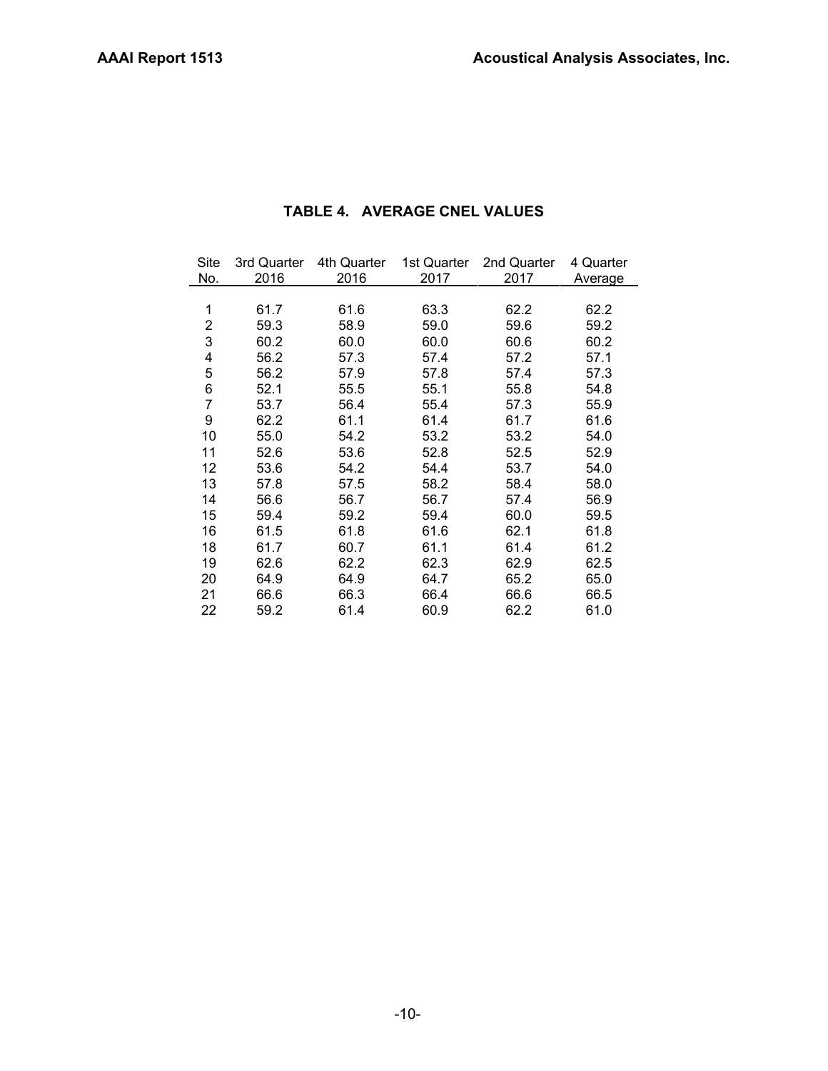| Site | 3rd Quarter | 4th Quarter | 1st Quarter | 2nd Quarter | 4 Quarter |
|------|-------------|-------------|-------------|-------------|-----------|
| No.  | 2016        | 2016        | 2017        | 2017        | Average   |
|      |             |             |             |             |           |
| 1    | 61.7        | 61.6        | 63.3        | 62.2        | 62.2      |
| 2    | 59.3        | 58.9        | 59.0        | 59.6        | 59.2      |
| 3    | 60.2        | 60.0        | 60.0        | 60.6        | 60.2      |
| 4    | 56.2        | 57.3        | 57.4        | 57.2        | 57.1      |
| 5    | 56.2        | 57.9        | 57.8        | 57.4        | 57.3      |
| 6    | 52.1        | 55.5        | 55.1        | 55.8        | 54.8      |
| 7    | 53.7        | 56.4        | 55.4        | 57.3        | 55.9      |
| 9    | 62.2        | 61.1        | 61.4        | 61.7        | 61.6      |
| 10   | 55.0        | 54.2        | 53.2        | 53.2        | 54.0      |
| 11   | 52.6        | 53.6        | 52.8        | 52.5        | 52.9      |
| 12   | 53.6        | 54.2        | 54.4        | 53.7        | 54.0      |
| 13   | 57.8        | 57.5        | 58.2        | 58.4        | 58.0      |
| 14   | 56.6        | 56.7        | 56.7        | 57.4        | 56.9      |
| 15   | 59.4        | 59.2        | 59.4        | 60.0        | 59.5      |
| 16   | 61.5        | 61.8        | 61.6        | 62.1        | 61.8      |
| 18   | 61.7        | 60.7        | 61.1        | 61.4        | 61.2      |
| 19   | 62.6        | 62.2        | 62.3        | 62.9        | 62.5      |
| 20   | 64.9        | 64.9        | 64.7        | 65.2        | 65.0      |
| 21   | 66.6        | 66.3        | 66.4        | 66.6        | 66.5      |
| 22   | 59.2        | 61.4        | 60.9        | 62.2        | 61.0      |

# **TABLE 4. AVERAGE CNEL VALUES**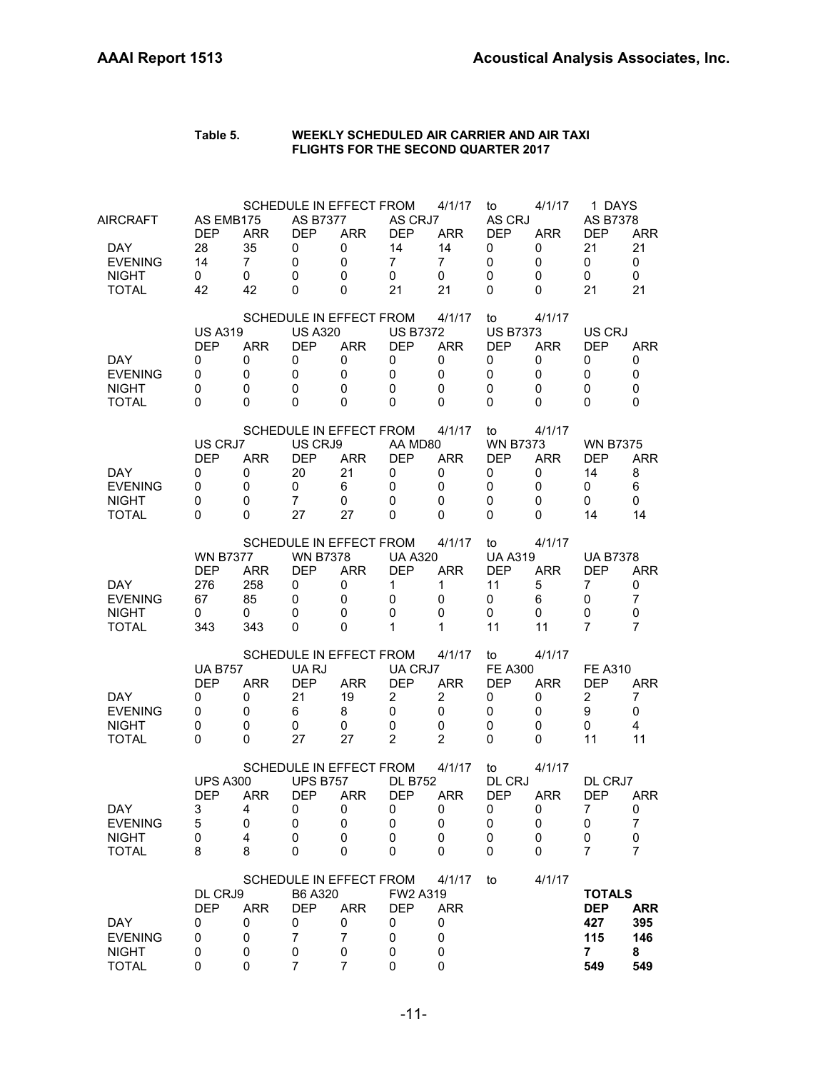| Table 5. | WEEKLY SCHEDULED AIR CARRIER AND AIR TAXI  |
|----------|--------------------------------------------|
|          | <b>FLIGHTS FOR THE SECOND QUARTER 2017</b> |

| AIRCRAFT<br>DAY.<br><b>EVENING</b><br><b>NIGHT</b>                     | AS EMB175<br><b>DEP</b><br>28<br>14<br>0               | <b>ARR</b><br>35<br>$\overline{7}$<br>0        | <b>AS B7377</b><br><b>DEP</b><br>0<br>$\mathbf 0$<br>0      | SCHEDULE IN EFFECT FROM<br><b>ARR</b><br>0<br>0<br>0                   | AS CRJ7<br><b>DEP</b><br>14<br>$\overline{7}$<br>$\mathbf 0$             | 4/1/17<br><b>ARR</b><br>14<br>$\overline{7}$<br>0                  | to<br>AS CRJ<br><b>DEP</b><br>0<br>0<br>0                              | 4/1/17<br><b>ARR</b><br>0<br>0<br>0           | 1 DAYS<br>AS B7378<br><b>DEP</b><br>21<br>0<br>0                   | <b>ARR</b><br>21<br>$\mathbf 0$<br>0           |
|------------------------------------------------------------------------|--------------------------------------------------------|------------------------------------------------|-------------------------------------------------------------|------------------------------------------------------------------------|--------------------------------------------------------------------------|--------------------------------------------------------------------|------------------------------------------------------------------------|-----------------------------------------------|--------------------------------------------------------------------|------------------------------------------------|
| <b>TOTAL</b><br>DAY.<br><b>EVENING</b><br><b>NIGHT</b><br><b>TOTAL</b> | 42<br><b>US A319</b><br><b>DEP</b><br>0<br>0<br>0<br>0 | 42<br><b>ARR</b><br>0<br>$\mathbf 0$<br>0<br>0 | 0<br><b>US A320</b><br><b>DEP</b><br>0<br>0<br>0<br>0       | 0<br>SCHEDULE IN EFFECT FROM<br><b>ARR</b><br>0<br>0<br>0<br>0         | 21<br><b>US B7372</b><br><b>DEP</b><br>0<br>$\mathbf 0$<br>0<br>$\Omega$ | 21<br>4/1/17<br><b>ARR</b><br>0<br>$\mathbf 0$<br>$\mathbf 0$<br>0 | 0<br>to<br><b>US B7373</b><br><b>DEP</b><br>0<br>$\mathbf 0$<br>0<br>0 | 0<br>4/1/17<br><b>ARR</b><br>0<br>0<br>0<br>0 | 21<br>US CRJ<br><b>DEP</b><br>0<br>0<br>0<br>$\Omega$              | 21<br><b>ARR</b><br>0<br>$\mathbf 0$<br>0<br>0 |
| <b>DAY</b><br><b>EVENING</b><br><b>NIGHT</b><br><b>TOTAL</b>           | US CRJ7<br><b>DEP</b><br>0<br>0<br>0<br>0              | <b>ARR</b><br>0<br>0<br>0<br>0                 | US CRJ9<br><b>DEP</b><br>20<br>0<br>$\overline{7}$<br>27    | SCHEDULE IN EFFECT FROM<br><b>ARR</b><br>21<br>6<br>0<br>27            | AA MD80<br><b>DEP</b><br>0<br>0<br>$\Omega$<br>$\Omega$                  | 4/1/17<br><b>ARR</b><br>0<br>0<br>0<br>$\Omega$                    | to<br><b>WN B7373</b><br><b>DEP</b><br>0<br>0<br>0<br>0                | 4/1/17<br><b>ARR</b><br>0<br>0<br>0<br>0      | <b>WN B7375</b><br><b>DEP</b><br>14<br>0<br>0<br>14                | <b>ARR</b><br>8<br>6<br>0<br>14                |
| <b>DAY</b><br><b>EVENING</b><br><b>NIGHT</b><br><b>TOTAL</b>           | <b>WN B7377</b><br><b>DEP</b><br>276<br>67<br>0<br>343 | <b>ARR</b><br>258<br>85<br>0<br>343            | <b>WN B7378</b><br><b>DEP</b><br>0<br>0<br>$\mathbf 0$<br>0 | SCHEDULE IN EFFECT FROM<br><b>ARR</b><br>0<br>0<br>0<br>0              | <b>UA A320</b><br><b>DEP</b><br>$\mathbf{1}$<br>0<br>$\Omega$<br>1       | 4/1/17<br><b>ARR</b><br>1<br>0<br>0<br>1                           | to<br><b>UA A319</b><br><b>DEP</b><br>11<br>0<br>0<br>11               | 4/1/17<br><b>ARR</b><br>5<br>6<br>0<br>11     | <b>UA B7378</b><br>DEP<br>7<br>0<br>0<br>7                         | <b>ARR</b><br>0<br>$\overline{7}$<br>0<br>7    |
| DAY.<br><b>EVENING</b><br><b>NIGHT</b><br><b>TOTAL</b>                 | <b>UA B757</b><br><b>DEP</b><br>0<br>0<br>0<br>0       | <b>ARR</b><br>0<br>0<br>0<br>$\Omega$          | UA RJ<br><b>DEP</b><br>21<br>6<br>0<br>27                   | SCHEDULE IN EFFECT FROM<br><b>ARR</b><br>19<br>8<br>0<br>27            | UA CRJ7<br><b>DEP</b><br>$\overline{2}$<br>0<br>$\mathbf 0$<br>2         | 4/1/17<br><b>ARR</b><br>2<br>0<br>0<br>2                           | to<br><b>FE A300</b><br><b>DEP</b><br>0<br>0<br>0<br>0                 | 4/1/17<br><b>ARR</b><br>0<br>0<br>0<br>0      | <b>FE A310</b><br><b>DEP</b><br>2<br>9<br>0<br>11                  | <b>ARR</b><br>7<br>0<br>$\overline{4}$<br>11   |
| <b>DAY</b><br><b>EVENING</b><br><b>NIGHT</b><br><b>TOTAL</b>           | <b>UPS A300</b><br><b>DEP</b><br>3<br>5<br>0<br>8      | ARR.<br>4<br>0<br>4<br>8                       | <b>UPS B757</b><br><b>DEP</b><br>0<br>0<br>0<br>0           | SCHEDULE IN EFFECT FROM<br><b>ARR</b><br>0<br>0<br>0<br>0              | <b>DL B752</b><br><b>DEP</b><br>0<br>0<br>0<br>0                         | 4/1/17<br>ARR<br>0<br>0<br>0<br>0                                  | to<br><b>DL CRJ</b><br><b>DEP</b><br>0<br>0<br>0<br>0                  | 4/1/17<br><b>ARR</b><br>0<br>0<br>0<br>0      | DL CRJ7<br><b>DEP</b><br>7<br>0<br>0<br>7                          | <b>ARR</b><br>0<br>$\overline{7}$<br>0<br>7    |
| <b>DAY</b><br><b>EVENING</b><br><b>NIGHT</b><br><b>TOTAL</b>           | DL CRJ9<br><b>DEP</b><br>0<br>0<br>0<br>0              | <b>ARR</b><br>0<br>0<br>0<br>0                 | B6 A320<br><b>DEP</b><br>0<br>7<br>0<br>7                   | SCHEDULE IN EFFECT FROM<br><b>ARR</b><br>0<br>$\overline{7}$<br>0<br>7 | FW2 A319<br><b>DEP</b><br>0<br>0<br>0<br>0                               | 4/1/17<br><b>ARR</b><br>0<br>0<br>0<br>0                           | to                                                                     | 4/1/17                                        | <b>TOTALS</b><br><b>DEP</b><br>427<br>115<br>$\overline{7}$<br>549 | <b>ARR</b><br>395<br>146<br>8<br>549           |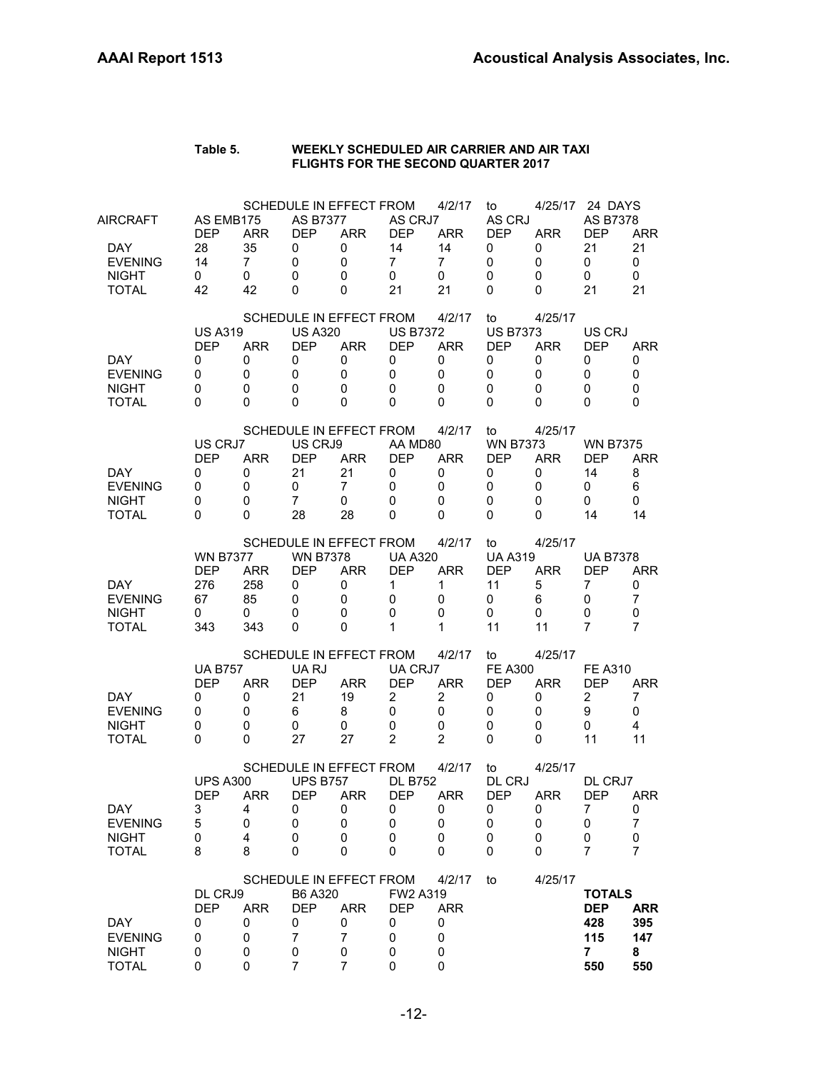|                                                              |                                                        |                                       |                                                                                     |                                |                                                                     |                                                                    | <b>FLIGHTS FOR THE SECOND QUARTER 2017</b>               |                                           |                                                                |                                 |
|--------------------------------------------------------------|--------------------------------------------------------|---------------------------------------|-------------------------------------------------------------------------------------|--------------------------------|---------------------------------------------------------------------|--------------------------------------------------------------------|----------------------------------------------------------|-------------------------------------------|----------------------------------------------------------------|---------------------------------|
| AIRCRAFT<br><b>DAY</b><br><b>EVENING</b><br><b>NIGHT</b>     | AS EMB175<br><b>DEP</b><br>28<br>14<br>0<br>42         | <b>ARR</b><br>35<br>7<br>0<br>42      | <b>SCHEDULE IN EFFECT FROM</b><br><b>AS B7377</b><br><b>DEP</b><br>0<br>0<br>0<br>0 | ARR<br>0<br>0<br>0<br>0        | AS CRJ7<br><b>DEP</b><br>14<br>7<br>0<br>21                         | 4/2/17<br>ARR<br>14<br>7<br>0<br>21                                | to<br>AS CRJ<br><b>DEP</b><br>0<br>0<br>0<br>0           | 4/25/17<br>ARR<br>0<br>0<br>0<br>0        | 24 DAYS<br><b>AS B7378</b><br><b>DEP</b><br>21<br>0<br>0<br>21 | ARR<br>21<br>0<br>0<br>21       |
| <b>TOTAL</b><br>DAY<br><b>EVENING</b>                        | <b>US A319</b><br><b>DEP</b><br>0<br>0                 | <b>ARR</b><br>0<br>0                  | SCHEDULE IN EFFECT FROM<br><b>US A320</b><br><b>DEP</b><br>0<br>0                   | <b>ARR</b><br>0<br>0           | <b>US B7372</b><br><b>DEP</b><br>0<br>0                             | 4/2/17<br><b>ARR</b><br>0<br>0                                     | to<br><b>US B7373</b><br><b>DEP</b><br>0<br>0            | 4/25/17<br><b>ARR</b><br>0<br>0           | US CRJ<br><b>DEP</b><br>0<br>0                                 | <b>ARR</b><br>0<br>0            |
| <b>NIGHT</b><br><b>TOTAL</b>                                 | 0<br>0                                                 | 0<br>0                                | 0<br>0<br>SCHEDULE IN EFFECT FROM                                                   | 0<br>0                         | 0<br>0                                                              | 0<br>0<br>4/2/17                                                   | 0<br>0<br>to                                             | 0<br>0<br>4/25/17                         | 0<br>0                                                         | 0<br>0                          |
| <b>DAY</b><br><b>EVENING</b><br><b>NIGHT</b><br><b>TOTAL</b> | US CRJ7<br><b>DEP</b><br>0<br>0<br>0<br>0              | <b>ARR</b><br>0<br>0<br>0<br>$\Omega$ | US CRJ9<br><b>DEP</b><br>21<br>0<br>7<br>28                                         | ARR<br>21<br>7<br>0<br>28      | AA MD80<br><b>DEP</b><br>0<br>0<br>0<br>$\Omega$                    | ARR<br>0<br>0<br>0<br>0                                            | <b>WN B7373</b><br><b>DEP</b><br>0<br>0<br>0<br>0        | <b>ARR</b><br>0<br>0<br>0<br>0            | <b>WN B7375</b><br>DEP<br>14<br>0<br>0<br>14                   | ARR<br>8<br>6<br>0<br>14        |
| <b>DAY</b><br><b>EVENING</b><br><b>NIGHT</b><br><b>TOTAL</b> | <b>WN B7377</b><br><b>DEP</b><br>276<br>67<br>0<br>343 | <b>ARR</b><br>258<br>85<br>0<br>343   | SCHEDULE IN EFFECT FROM<br><b>WN B7378</b><br><b>DEP</b><br>0<br>0<br>0<br>0        | ARR<br>0<br>0<br>0<br>0        | <b>UA A320</b><br><b>DFP</b><br>1<br>0<br>0<br>1                    | 4/2/17<br>ARR<br>1<br>0<br>0<br>1                                  | to<br><b>UA A319</b><br><b>DEP</b><br>11<br>0<br>0<br>11 | 4/25/17<br>ARR<br>5<br>6<br>0<br>11       | <b>UA B7378</b><br><b>DFP</b><br>7<br>0<br>0<br>7              | <b>ARR</b><br>0<br>7<br>0<br>7  |
| <b>DAY</b><br><b>EVENING</b><br><b>NIGHT</b><br><b>TOTAL</b> | <b>UA B757</b><br><b>DEP</b><br>0<br>0<br>0<br>0       | <b>ARR</b><br>0<br>0<br>0<br>0        | <b>SCHEDULE IN EFFECT FROM</b><br>UA RJ<br><b>DEP</b><br>21<br>6<br>0<br>27         | ARR<br>19<br>8<br>0<br>27      | UA CRJ7<br><b>DEP</b><br>$\overline{2}$<br>0<br>0<br>$\overline{2}$ | 4/2/17<br><b>ARR</b><br>$\overline{2}$<br>0<br>0<br>$\overline{2}$ | to<br><b>FE A300</b><br><b>DEP</b><br>0<br>0<br>0<br>0   | 4/25/17<br><b>ARR</b><br>0<br>0<br>0<br>0 | <b>FE A310</b><br><b>DEP</b><br>$\overline{2}$<br>9<br>0<br>11 | <b>ARR</b><br>7<br>0<br>4<br>11 |
| <b>DAY</b><br><b>EVENING</b><br><b>NIGHT</b><br>TOTAL        | <b>UPS A300</b><br><b>DEP</b><br>3<br>5<br>0<br>8      | <b>ARR</b><br>4<br>0<br>4<br>8        | SCHEDULE IN EFFECT FROM<br><b>UPS B757</b><br><b>DEP</b><br>0<br>0<br>0<br>0        | ARR<br>0<br>0<br>0<br>$\Omega$ | <b>DL B752</b><br><b>DEP</b><br>0<br>0<br>0<br>0                    | 4/2/17<br><b>ARR</b><br>0<br>0<br>0<br>0                           | to<br>DL CRJ<br><b>DEP</b><br>0<br>0<br>0<br>0           | 4/25/17<br><b>ARR</b><br>0<br>0<br>0<br>0 | DL CRJ7<br><b>DEP</b><br>7<br>0<br>0<br>7                      | <b>ARR</b><br>0<br>7<br>0<br>7  |

# **Table 5. WEEKLY SCHEDULED AIR CARRIER AND AIR TAXI**

|                |            |     |            | SCHEDULE IN EFFECT FROM |                 | 4/2/17 | to | 4/25/17 |               |            |
|----------------|------------|-----|------------|-------------------------|-----------------|--------|----|---------|---------------|------------|
|                | DL CRJ9    |     | B6 A320    |                         | <b>FW2 A319</b> |        |    |         | <b>TOTALS</b> |            |
|                | <b>DFP</b> | ARR | <b>DFP</b> | ARR                     | <b>DFP</b>      | ARR    |    |         | <b>DEP</b>    | <b>ARR</b> |
| <b>DAY</b>     |            |     | 0          |                         |                 |        |    |         | 428           | 395        |
| <b>EVENING</b> |            |     |            |                         |                 |        |    |         | 115           | 147        |
| <b>NIGHT</b>   |            |     |            |                         |                 |        |    |         |               | 8          |
| ΓΟΤΑΙ          |            |     |            |                         |                 |        |    |         | 550           | 550        |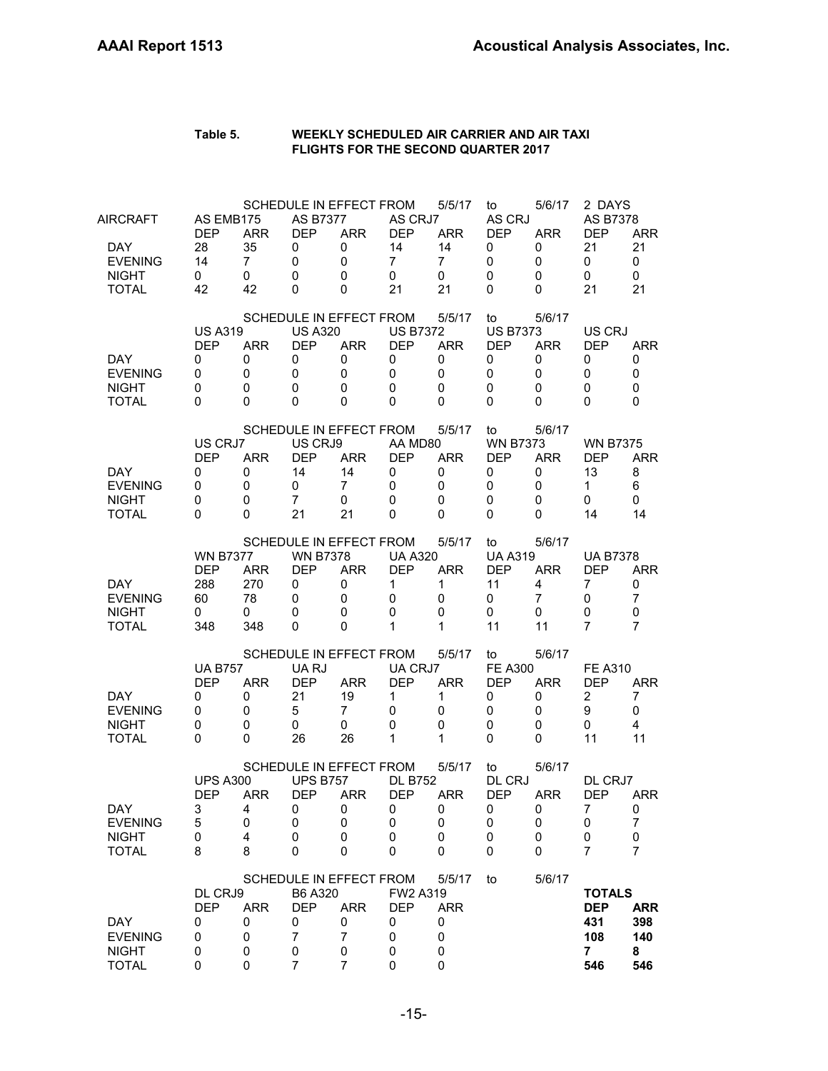| Table 5. | WEEKLY SCHEDULED AIR CARRIER AND AIR TAXI  |
|----------|--------------------------------------------|
|          | <b>FLIGHTS FOR THE SECOND QUARTER 2017</b> |

| <b>DAY</b><br><b>EVENING</b><br><b>NIGHT</b><br><b>TOTAL</b>       | DL CRJ9<br><b>DEP</b><br>0<br>0<br>0<br>0               | <b>ARR</b><br>0<br>0<br>0<br>0                | B6 A320<br><b>DEP</b><br>0<br>7<br>0<br>7                | SCHEDULE IN EFFECT FROM<br><b>ARR</b><br>0<br>$\overline{7}$<br>0<br>7 | FW2 A319<br><b>DEP</b><br>0<br>0<br>0<br>0                           | 5/5/17<br><b>ARR</b><br>0<br>0<br>0<br>0                         | to                                                       | 5/6/17                                    | <b>TOTALS</b><br><b>DEP</b><br>431<br>108<br>$\overline{7}$<br>546 | <b>ARR</b><br>398<br>140<br>8<br>546        |
|--------------------------------------------------------------------|---------------------------------------------------------|-----------------------------------------------|----------------------------------------------------------|------------------------------------------------------------------------|----------------------------------------------------------------------|------------------------------------------------------------------|----------------------------------------------------------|-------------------------------------------|--------------------------------------------------------------------|---------------------------------------------|
| DAY<br><b>EVENING</b><br><b>NIGHT</b><br><b>TOTAL</b>              | <b>UPS A300</b><br><b>DEP</b><br>3<br>5<br>0<br>8       | <b>ARR</b><br>4<br>0<br>4<br>8                | <b>UPS B757</b><br><b>DEP</b><br>0<br>0<br>0<br>0        | SCHEDULE IN EFFECT FROM<br><b>ARR</b><br>0<br>0<br>0<br>0              | <b>DL B752</b><br><b>DEP</b><br>0<br>0<br>0<br>0                     | 5/5/17<br><b>ARR</b><br>0<br>0<br>0<br>0                         | to<br>DL CRJ<br>DEP<br>0<br>0<br>0<br>0                  | 5/6/17<br><b>ARR</b><br>0<br>0<br>0<br>0  | DL CRJ7<br><b>DEP</b><br>7<br>0<br>0<br>7                          | <b>ARR</b><br>0<br>$\overline{7}$<br>0<br>7 |
| DAY.<br><b>EVENING</b><br><b>NIGHT</b><br><b>TOTAL</b>             | <b>UA B757</b><br><b>DEP</b><br>0<br>0<br>0<br>0        | <b>ARR</b><br>0<br>0<br>0<br>0                | UA RJ<br><b>DEP</b><br>21<br>5<br>0<br>26                | SCHEDULE IN EFFECT FROM<br><b>ARR</b><br>19<br>7<br>0<br>26            | UA CRJ7<br><b>DEP</b><br>1<br>0<br>0<br>1                            | 5/5/17<br><b>ARR</b><br>1<br>0<br>0<br>1                         | to<br><b>FE A300</b><br><b>DEP</b><br>0<br>0<br>0<br>0   | 5/6/17<br><b>ARR</b><br>0<br>0<br>0<br>0  | <b>FE A310</b><br><b>DEP</b><br>2<br>9<br>0<br>11                  | <b>ARR</b><br>7<br>0<br>4<br>11             |
| DAY.<br><b>EVENING</b><br><b>NIGHT</b><br><b>TOTAL</b>             | <b>WN B7377</b><br><b>DEP</b><br>288<br>60<br>0<br>348  | ARR.<br>270<br>78<br>0<br>348                 | <b>WN B7378</b><br><b>DEP</b><br>0<br>0<br>0<br>0        | SCHEDULE IN EFFECT FROM<br><b>ARR</b><br>0<br>0<br>0<br>0              | <b>UA A320</b><br><b>DEP</b><br>$\mathbf 1$<br>0<br>$\mathbf 0$<br>1 | 5/5/17<br><b>ARR</b><br>1<br>0<br>0<br>1                         | to<br><b>UA A319</b><br><b>DEP</b><br>11<br>0<br>0<br>11 | 5/6/17<br><b>ARR</b><br>4<br>7<br>0<br>11 | <b>UA B7378</b><br>DEP<br>7<br>0<br>0<br>7                         | ARR<br>0<br>$\overline{7}$<br>0<br>7        |
| DAY.<br><b>EVENING</b><br><b>NIGHT</b><br><b>TOTAL</b>             | US CRJ7<br><b>DEP</b><br>0<br>0<br>0<br>0               | <b>ARR</b><br>0<br>0<br>0<br>0                | US CRJ9<br><b>DEP</b><br>14<br>0<br>$\overline{7}$<br>21 | SCHEDULE IN EFFECT FROM<br><b>ARR</b><br>14<br>7<br>0<br>21            | AA MD80<br><b>DEP</b><br>0<br>0<br>$\Omega$<br>$\Omega$              | 5/5/17<br><b>ARR</b><br>0<br>0<br>0<br>0                         | to<br><b>WN B7373</b><br><b>DEP</b><br>0<br>0<br>0<br>0  | 5/6/17<br><b>ARR</b><br>0<br>0<br>0<br>0  | <b>WN B7375</b><br>DEP<br>13<br>$\mathbf{1}$<br>0<br>14            | <b>ARR</b><br>8<br>6<br>0<br>14             |
| DAY.<br><b>EVENING</b><br><b>NIGHT</b><br><b>TOTAL</b>             | <b>US A319</b><br><b>DEP</b><br>0<br>0<br>0<br>$\Omega$ | <b>ARR</b><br>0<br>$\mathbf 0$<br>0<br>0      | <b>US A320</b><br><b>DEP</b><br>0<br>0<br>0<br>0         | SCHEDULE IN EFFECT FROM<br><b>ARR</b><br>0<br>$\mathbf 0$<br>0<br>0    | <b>US B7372</b><br><b>DEP</b><br>0<br>$\mathbf 0$<br>0<br>$\Omega$   | 5/5/17<br><b>ARR</b><br>0<br>$\mathbf 0$<br>$\Omega$<br>$\Omega$ | to<br><b>US B7373</b><br><b>DEP</b><br>0<br>0<br>0<br>0  | 5/6/17<br><b>ARR</b><br>0<br>0<br>0<br>0  | US CRJ<br><b>DEP</b><br>0<br>$\mathbf 0$<br>0<br>$\Omega$          | ARR<br>0<br>$\mathbf 0$<br>0<br>0           |
| AIRCRAFT<br>DAY.<br><b>EVENING</b><br><b>NIGHT</b><br><b>TOTAL</b> | AS EMB175<br><b>DEP</b><br>28<br>14<br>0<br>42          | <b>ARR</b><br>35<br>$\overline{7}$<br>0<br>42 | <b>AS B7377</b><br><b>DEP</b><br>0<br>0<br>0<br>0        | SCHEDULE IN EFFECT FROM<br><b>ARR</b><br>0<br>0<br>0<br>0              | AS CRJ7<br><b>DEP</b><br>14<br>$\overline{7}$<br>$\mathbf 0$<br>21   | 5/5/17<br>ARR.<br>14<br>$\overline{7}$<br>0<br>21                | to<br>AS CRJ<br><b>DEP</b><br>0<br>0<br>0<br>0           | 5/6/17<br><b>ARR</b><br>0<br>0<br>0<br>0  | 2 DAYS<br>AS B7378<br><b>DEP</b><br>21<br>0<br>0<br>21             | <b>ARR</b><br>21<br>0<br>0<br>21            |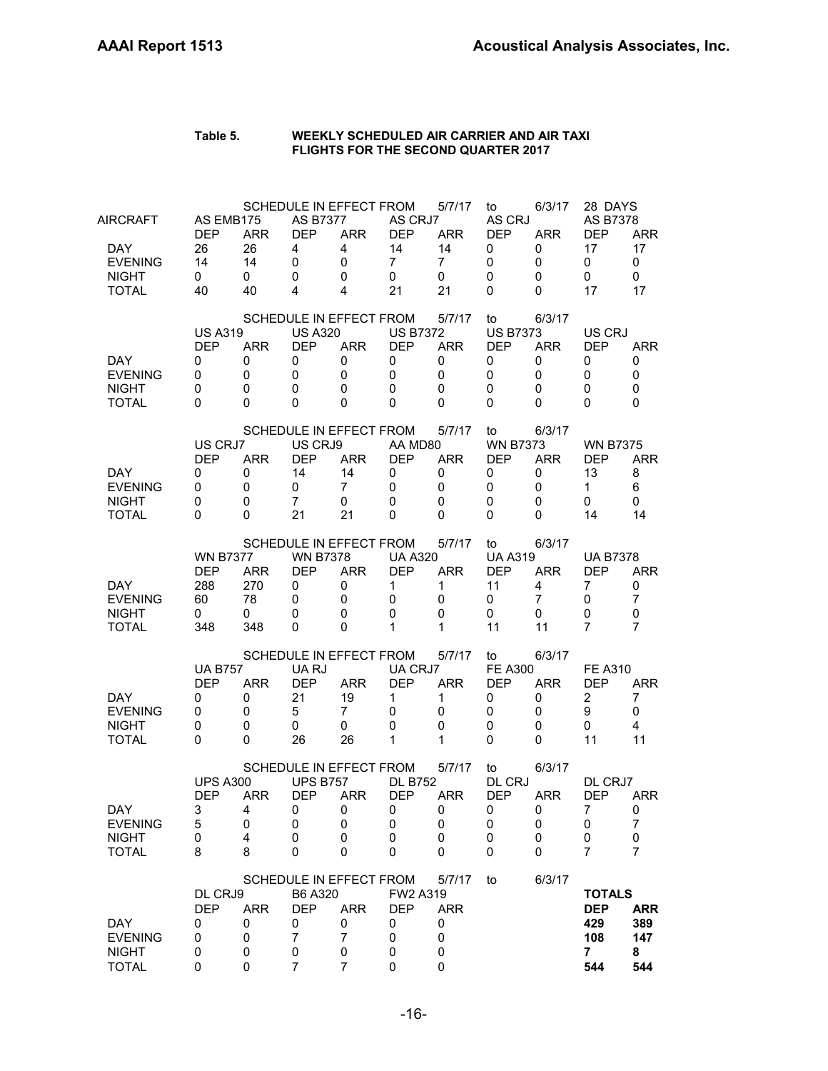| Table 5. | WEEKLY SCHEDULED AIR CARRIER AND AIR TAXI  |
|----------|--------------------------------------------|
|          | <b>FLIGHTS FOR THE SECOND QUARTER 2017</b> |

| <b>AIRCRAFT</b><br>DAY<br><b>EVENING</b><br><b>NIGHT</b><br><b>TOTAL</b> | AS EMB175<br><b>DEP</b><br>26<br>14<br>0<br>40         | <b>ARR</b><br>26<br>14<br>0<br>40                     | <b>AS B7377</b><br><b>DEP</b><br>4<br>0<br>0<br>4                   | SCHEDULE IN EFFECT FROM<br><b>ARR</b><br>4<br>$\mathbf 0$<br>0<br>4                         | AS CRJ7<br><b>DEP</b><br>14<br>$\overline{7}$<br>$\mathbf 0$<br>21              | 5/7/17<br><b>ARR</b><br>14<br>$\overline{7}$<br>0<br>21      | to<br>AS CRJ<br><b>DEP</b><br>0<br>0<br>$\mathbf 0$<br>0         | 6/3/17<br><b>ARR</b><br>0<br>0<br>0<br>$\Omega$        | 28 DAYS<br>AS B7378<br><b>DEP</b><br>17<br>0<br>0<br>17                  | <b>ARR</b><br>17<br>0<br>0<br>17                                   |
|--------------------------------------------------------------------------|--------------------------------------------------------|-------------------------------------------------------|---------------------------------------------------------------------|---------------------------------------------------------------------------------------------|---------------------------------------------------------------------------------|--------------------------------------------------------------|------------------------------------------------------------------|--------------------------------------------------------|--------------------------------------------------------------------------|--------------------------------------------------------------------|
| <b>DAY</b><br><b>EVENING</b><br><b>NIGHT</b><br><b>TOTAL</b>             | <b>US A319</b><br><b>DEP</b><br>0<br>0<br>0<br>0       | <b>ARR</b><br>0<br>0<br>0<br>0                        | <b>US A320</b><br><b>DEP</b><br>0<br>0<br>0<br>0                    | SCHEDULE IN EFFECT FROM<br><b>ARR</b><br>$\mathbf 0$<br>$\mathbf 0$<br>$\Omega$<br>$\Omega$ | <b>US B7372</b><br><b>DEP</b><br>0<br>$\mathbf 0$<br>$\mathbf 0$<br>$\Omega$    | 5/7/17<br><b>ARR</b><br>0<br>0<br>0<br>$\Omega$              | to<br><b>US B7373</b><br><b>DEP</b><br>0<br>0<br>0<br>0          | 6/3/17<br><b>ARR</b><br>0<br>0<br>$\Omega$<br>$\Omega$ | US CRJ<br><b>DEP</b><br>0<br>0<br>$\mathbf 0$<br>$\Omega$                | <b>ARR</b><br>0<br>0<br>$\mathbf 0$<br>$\Omega$                    |
| <b>DAY</b><br><b>EVENING</b><br><b>NIGHT</b><br><b>TOTAL</b>             | US CRJ7<br><b>DEP</b><br>0<br>0<br>0<br>0              | <b>ARR</b><br>0<br>0<br>0<br>$\Omega$                 | US CRJ9<br><b>DEP</b><br>14<br>0<br>$\overline{7}$<br>21            | SCHEDULE IN EFFECT FROM<br><b>ARR</b><br>14<br>$\overline{7}$<br>$\mathbf 0$<br>21          | AA MD80<br><b>DEP</b><br>0<br>$\mathbf 0$<br>$\mathbf 0$<br>$\Omega$            | 5/7/17<br><b>ARR</b><br>0<br>0<br>0<br>$\Omega$              | to<br><b>WN B7373</b><br><b>DEP</b><br>0<br>0<br>0<br>0          | 6/3/17<br><b>ARR</b><br>0<br>0<br>0<br>$\Omega$        | <b>WN B7375</b><br><b>DEP</b><br>13<br>$\mathbf{1}$<br>0<br>14           | <b>ARR</b><br>8<br>6<br>0<br>14                                    |
| DAY<br><b>EVENING</b><br><b>NIGHT</b><br><b>TOTAL</b>                    | <b>WN B7377</b><br><b>DEP</b><br>288<br>60<br>0<br>348 | <b>ARR</b><br>270<br>78<br>0<br>348                   | <b>WN B7378</b><br><b>DEP</b><br>0<br>0<br>0<br>0                   | SCHEDULE IN EFFECT FROM<br><b>ARR</b><br>0<br>$\mathbf 0$<br>$\Omega$<br>0                  | <b>UA A320</b><br><b>DEP</b><br>1<br>$\mathbf 0$<br>$\mathbf 0$<br>$\mathbf{1}$ | 5/7/17<br><b>ARR</b><br>1<br>$\mathbf 0$<br>$\mathbf 0$<br>1 | to<br><b>UA A319</b><br><b>DEP</b><br>11<br>0<br>0<br>11         | 6/3/17<br><b>ARR</b><br>4<br>$\overline{7}$<br>0<br>11 | <b>UA B7378</b><br><b>DEP</b><br>$\overline{7}$<br>0<br>$\mathbf 0$<br>7 | <b>ARR</b><br>0<br>$\overline{7}$<br>$\mathbf 0$<br>$\overline{7}$ |
| <b>DAY</b><br><b>EVENING</b><br><b>NIGHT</b><br><b>TOTAL</b>             | <b>UA B757</b><br><b>DEP</b><br>0<br>0<br>0<br>0       | <b>ARR</b><br>0<br>0<br>0<br>0                        | UA RJ<br><b>DEP</b><br>21<br>5<br>0<br>26                           | SCHEDULE IN EFFECT FROM<br><b>ARR</b><br>19<br>$\overline{7}$<br>0<br>26                    | UA CRJ7<br><b>DEP</b><br>1<br>0<br>$\mathbf 0$<br>1                             | 5/7/17<br><b>ARR</b><br>1<br>$\mathbf 0$<br>0<br>1           | to<br><b>FE A300</b><br><b>DEP</b><br>0<br>0<br>0<br>$\mathbf 0$ | 6/3/17<br><b>ARR</b><br>0<br>0<br>0<br>0               | <b>FE A310</b><br>DEP<br>$\overline{c}$<br>9<br>0<br>11                  | <b>ARR</b><br>7<br>0<br>4<br>11                                    |
| <b>DAY</b><br><b>EVENING</b><br><b>NIGHT</b><br><b>TOTAL</b>             | <b>UPS A300</b><br><b>DEP</b><br>3<br>5<br>0<br>8      | <b>ARR</b><br>4<br>$\mathbf 0$<br>$\overline{4}$<br>8 | <b>UPS B757</b><br><b>DEP</b><br>0<br>0<br>0<br>0                   | SCHEDULE IN EFFECT FROM<br><b>ARR</b><br>0<br>$\mathbf 0$<br>0<br>0                         | <b>DL B752</b><br><b>DEP</b><br>0<br>0<br>0<br>$\mathbf 0$                      | 5/7/17<br><b>ARR</b><br>0<br>0<br>0<br>0                     | to<br>DL CRJ<br><b>DEP</b><br>0<br>0<br>0<br>$\mathbf 0$         | 6/3/17<br><b>ARR</b><br>0<br>$\mathbf 0$<br>0<br>0     | DL CRJ7<br><b>DEP</b><br>$\overline{7}$<br>0<br>0<br>7                   | <b>ARR</b><br>0<br>7<br>0<br>$\overline{7}$                        |
| <b>DAY</b><br><b>EVENING</b><br><b>NIGHT</b><br><b>TOTAL</b>             | DL CRJ9<br><b>DEP</b><br>0<br>0<br>0<br>0              | <b>ARR</b><br>0<br>0<br>0<br>0                        | B6 A320<br><b>DEP</b><br>0<br>$\overline{7}$<br>0<br>$\overline{7}$ | SCHEDULE IN EFFECT FROM<br><b>ARR</b><br>0<br>$\overline{7}$<br>0<br>$\overline{7}$         | FW2 A319<br><b>DEP</b><br>0<br>0<br>0<br>$\mathbf 0$                            | 5/7/17<br><b>ARR</b><br>0<br>0<br>0<br>$\mathbf 0$           | to                                                               | 6/3/17                                                 | <b>TOTALS</b><br><b>DEP</b><br>429<br>108<br>7<br>544                    | <b>ARR</b><br>389<br>147<br>8<br>544                               |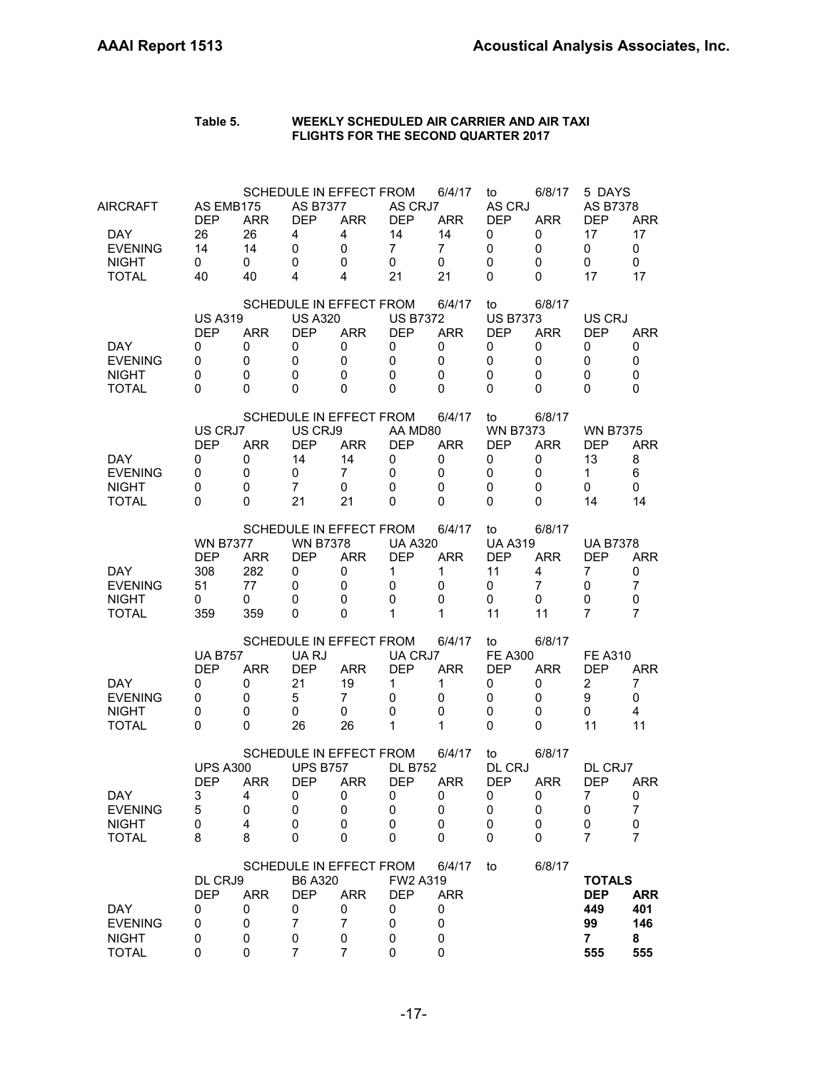| AIRCRAFT<br>DAY.<br><b>EVENING</b><br><b>NIGHT</b><br><b>TOTAL</b> | AS EMB175<br><b>DEP</b><br>26<br>14<br>0<br>40         | <b>ARR</b><br>26<br>14<br>0<br>40        | <b>AS B7377</b><br><b>DEP</b><br>4<br>0<br>0<br>4                   | SCHEDULE IN EFFECT FROM<br><b>ARR</b><br>$\overline{4}$<br>0<br>0<br>4              | AS CRJ7<br><b>DEP</b><br>14<br>$\overline{7}$<br>0<br>21          | 6/4/17<br><b>ARR</b><br>14<br>$\overline{7}$<br>0<br>21       | to<br>AS CRJ<br><b>DEP</b><br>0<br>$\mathbf 0$<br>0<br>0          | 6/8/17<br><b>ARR</b><br>0<br>0<br>0<br>0  | 5 DAYS<br>AS B7378<br><b>DEP</b><br>17<br>0<br>0<br>17            | <b>ARR</b><br>17<br>$\mathbf 0$<br>0<br>17            |
|--------------------------------------------------------------------|--------------------------------------------------------|------------------------------------------|---------------------------------------------------------------------|-------------------------------------------------------------------------------------|-------------------------------------------------------------------|---------------------------------------------------------------|-------------------------------------------------------------------|-------------------------------------------|-------------------------------------------------------------------|-------------------------------------------------------|
| DAY.<br><b>EVENING</b><br><b>NIGHT</b><br><b>TOTAL</b>             | <b>US A319</b><br><b>DEP</b><br>0<br>0<br>0<br>0       | <b>ARR</b><br>0<br>$\mathbf 0$<br>0<br>0 | <b>US A320</b><br><b>DEP</b><br>0<br>$\mathbf 0$<br>0<br>$\Omega$   | SCHEDULE IN EFFECT FROM<br><b>ARR</b><br>0<br>0<br>0<br>0                           | <b>US B7372</b><br><b>DEP</b><br>0<br>$\Omega$<br>0<br>$\Omega$   | 6/4/17<br><b>ARR</b><br>0<br>$\Omega$<br>$\Omega$<br>$\Omega$ | to<br><b>US B7373</b><br><b>DEP</b><br>0<br>0<br>$\mathbf 0$<br>0 | 6/8/17<br><b>ARR</b><br>0<br>0<br>0<br>0  | US CRJ<br><b>DEP</b><br>0<br>0<br>0<br>0                          | <b>ARR</b><br>0<br>$\mathbf 0$<br>0<br>$\Omega$       |
| <b>DAY</b><br><b>EVENING</b><br><b>NIGHT</b><br><b>TOTAL</b>       | US CRJ7<br><b>DEP</b><br>0<br>0<br>0<br>$\Omega$       | <b>ARR</b><br>0<br>0<br>0<br>0           | US CRJ9<br><b>DEP</b><br>14<br>0<br>$\overline{7}$<br>21            | SCHEDULE IN EFFECT FROM<br><b>ARR</b><br>14<br>7<br>0<br>21                         | AA MD80<br><b>DEP</b><br>0<br>0<br>$\mathbf{0}$<br>$\Omega$       | 6/4/17<br><b>ARR</b><br>0<br>$\mathbf 0$<br>0<br>$\Omega$     | to<br><b>WN B7373</b><br><b>DEP</b><br>0<br>0<br>$\mathbf 0$<br>0 | 6/8/17<br><b>ARR</b><br>0<br>0<br>0<br>0  | <b>WN B7375</b><br><b>DEP</b><br>13<br>1<br>0<br>14               | <b>ARR</b><br>8<br>6<br>0<br>14                       |
| DAY.<br><b>EVENING</b><br><b>NIGHT</b><br><b>TOTAL</b>             | <b>WN B7377</b><br><b>DEP</b><br>308<br>51<br>0<br>359 | <b>ARR</b><br>282<br>77<br>0<br>359      | <b>WN B7378</b><br><b>DEP</b><br>0<br>0<br>0<br>0                   | <b>SCHEDULE IN EFFECT FROM</b><br><b>ARR</b><br>0<br>0<br>0<br>$\Omega$             | <b>UA A320</b><br><b>DEP</b><br>1<br>0<br>$\Omega$<br>1           | 6/4/17<br><b>ARR</b><br>1<br>0<br>0<br>$\mathbf{1}$           | to<br><b>UA A319</b><br><b>DEP</b><br>11<br>0<br>0<br>11          | 6/8/17<br><b>ARR</b><br>4<br>7<br>0<br>11 | <b>UA B7378</b><br>DEP<br>7<br>0<br>0<br>7                        | <b>ARR</b><br>0<br>7<br>$\mathbf 0$<br>$\overline{7}$ |
| DAY.<br><b>EVENING</b><br><b>NIGHT</b><br><b>TOTAL</b>             | <b>UA B757</b><br><b>DEP</b><br>0<br>0<br>0<br>0       | <b>ARR</b><br>0<br>0<br>0<br>0           | UA RJ<br><b>DEP</b><br>21<br>5<br>0<br>26                           | SCHEDULE IN EFFECT FROM<br><b>ARR</b><br>19<br>7<br>0<br>26                         | UA CRJ7<br><b>DEP</b><br>1<br>0<br>0<br>1                         | 6/4/17<br><b>ARR</b><br>1<br>0<br>0<br>$\mathbf{1}$           | to<br><b>FE A300</b><br><b>DEP</b><br>0<br>0<br>0<br>0            | 6/8/17<br><b>ARR</b><br>0<br>0<br>0<br>0  | <b>FE A310</b><br><b>DEP</b><br>$\overline{c}$<br>9<br>0<br>11    | <b>ARR</b><br>7<br>0<br>4<br>11                       |
| DAY<br><b>EVENING</b><br><b>NIGHT</b><br><b>TOTAL</b>              | <b>UPS A300</b><br><b>DEP</b><br>3<br>5<br>0<br>8      | <b>ARR</b><br>4<br>0<br>4<br>8           | <b>UPS B757</b><br><b>DEP</b><br>0<br>0<br>0<br>0                   | SCHEDULE IN EFFECT FROM<br><b>ARR</b><br>O<br>0<br>0<br>0                           | <b>DL B752</b><br><b>DEP</b><br>O<br>0<br>$\mathbf 0$<br>$\Omega$ | 6/4/17<br><b>ARR</b><br>0<br>0<br>0<br>0                      | to<br>DL CRJ<br><b>DEP</b><br>$\cup$<br>0<br>0<br>0               | 6/8/17<br><b>ARR</b><br>O<br>0<br>0<br>0  | DL CRJ7<br><b>DFP</b><br>7<br>0<br>0<br>7                         | ARR.<br>0<br>$\overline{7}$<br>0<br>7                 |
| <b>DAY</b><br><b>EVENING</b><br><b>NIGHT</b><br><b>TOTAL</b>       | DL CRJ9<br><b>DEP</b><br>0<br>0<br>0<br>0              | <b>ARR</b><br>0<br>0<br>0<br>0           | B6 A320<br><b>DEP</b><br>0<br>$\overline{7}$<br>0<br>$\overline{7}$ | SCHEDULE IN EFFECT FROM<br><b>ARR</b><br>0<br>$\overline{7}$<br>0<br>$\overline{7}$ | FW2 A319<br><b>DEP</b><br>0<br>0<br>0<br>0                        | 6/4/17<br><b>ARR</b><br>0<br>0<br>0<br>0                      | to                                                                | 6/8/17                                    | <b>TOTALS</b><br><b>DEP</b><br>449<br>99<br>$\overline{7}$<br>555 | <b>ARR</b><br>401<br>146<br>8<br>555                  |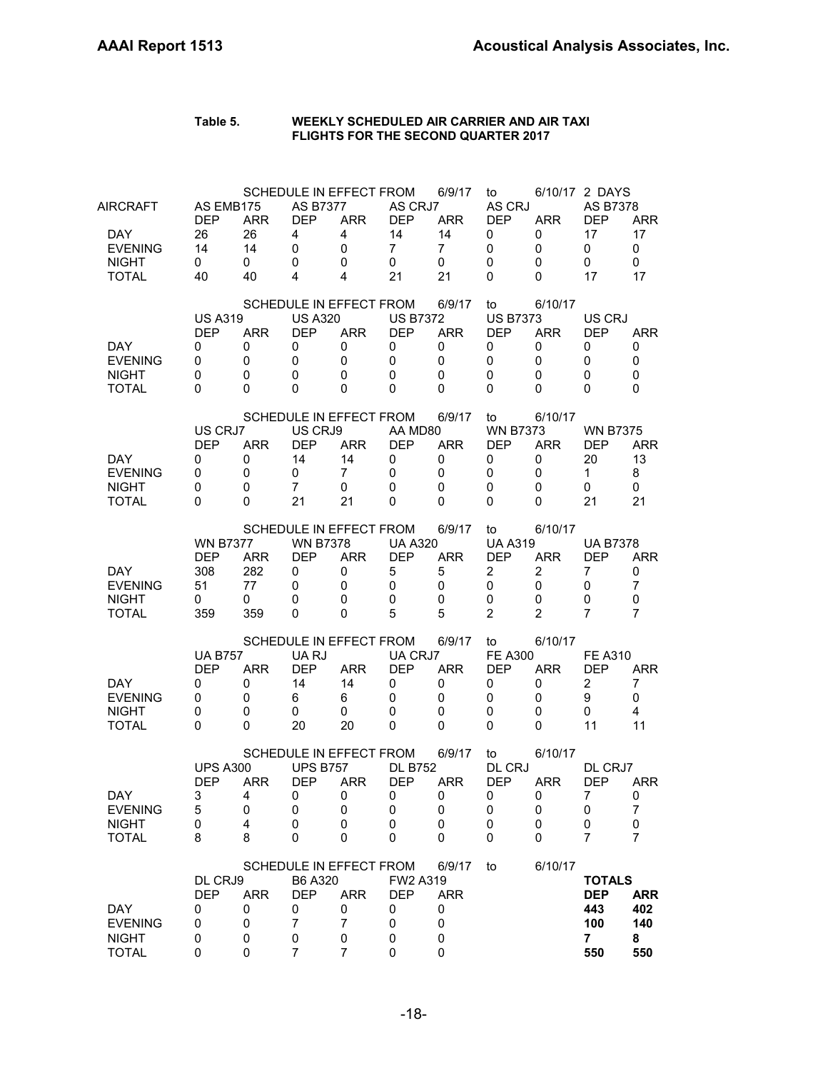| AIRCRAFT<br>DAY.<br><b>EVENING</b><br><b>NIGHT</b><br><b>TOTAL</b> | AS EMB175<br><b>DEP</b><br>26<br>14<br>0<br>40          | <b>ARR</b><br>26<br>14<br>0<br>40   | <b>AS B7377</b><br><b>DEP</b><br>4<br>$\mathbf 0$<br>0<br>4 | SCHEDULE IN EFFECT FROM<br><b>ARR</b><br>4<br>0<br>0<br>4              | AS CRJ7<br><b>DEP</b><br>14<br>$\overline{7}$<br>$\mathbf 0$<br>21 | 6/9/17<br><b>ARR</b><br>14<br>$\overline{7}$<br>0<br>21          | to<br>AS CRJ<br><b>DEP</b><br>0<br>0<br>0<br>0                                   | <b>ARR</b><br>0<br>0<br>0<br>0                                      | 6/10/17 2 DAYS<br>AS B7378<br><b>DEP</b><br>17<br>0<br>0<br>17     | <b>ARR</b><br>17<br>0<br>0<br>17             |
|--------------------------------------------------------------------|---------------------------------------------------------|-------------------------------------|-------------------------------------------------------------|------------------------------------------------------------------------|--------------------------------------------------------------------|------------------------------------------------------------------|----------------------------------------------------------------------------------|---------------------------------------------------------------------|--------------------------------------------------------------------|----------------------------------------------|
| DAY.<br><b>EVENING</b><br><b>NIGHT</b><br><b>TOTAL</b>             | <b>US A319</b><br><b>DEP</b><br>0<br>0<br>0<br>$\Omega$ | <b>ARR</b><br>0<br>0<br>0<br>0      | <b>US A320</b><br><b>DEP</b><br>0<br>0<br>0<br>0            | SCHEDULE IN EFFECT FROM<br><b>ARR</b><br>0<br>0<br>0<br>0              | <b>US B7372</b><br><b>DEP</b><br>0<br>$\mathbf 0$<br>0<br>$\Omega$ | 6/9/17<br><b>ARR</b><br>0<br>$\mathbf 0$<br>$\Omega$<br>$\Omega$ | to<br><b>US B7373</b><br><b>DEP</b><br>0<br>0<br>0<br>0                          | 6/10/17<br><b>ARR</b><br>0<br>0<br>0<br>0                           | US CRJ<br><b>DFP</b><br>0<br>0<br>0<br>$\Omega$                    | <b>ARR</b><br>0<br>0<br>0<br>0               |
| DAY.<br><b>EVENING</b><br><b>NIGHT</b><br><b>TOTAL</b>             | US CRJ7<br><b>DEP</b><br>0<br>0<br>0<br>0               | <b>ARR</b><br>0<br>0<br>0<br>0      | US CRJ9<br><b>DEP</b><br>14<br>0<br>$\overline{7}$<br>21    | SCHEDULE IN EFFECT FROM<br><b>ARR</b><br>14<br>7<br>0<br>21            | AA MD80<br><b>DEP</b><br>0<br>$\mathbf 0$<br>$\Omega$<br>0         | 6/9/17<br><b>ARR</b><br>0<br>$\mathbf 0$<br>0<br>0               | to<br><b>WN B7373</b><br><b>DEP</b><br>0<br>0<br>0<br>$\mathbf 0$                | 6/10/17<br><b>ARR</b><br>0<br>0<br>0<br>0                           | <b>WN B7375</b><br><b>DEP</b><br>20<br>$\mathbf{1}$<br>0<br>21     | <b>ARR</b><br>13<br>8<br>0<br>21             |
| DAY.<br><b>EVENING</b><br><b>NIGHT</b><br><b>TOTAL</b>             | <b>WN B7377</b><br><b>DEP</b><br>308<br>51<br>0<br>359  | <b>ARR</b><br>282<br>77<br>0<br>359 | <b>WN B7378</b><br><b>DEP</b><br>0<br>0<br>0<br>0           | SCHEDULE IN EFFECT FROM<br><b>ARR</b><br>0<br>0<br>0<br>0              | <b>UA A320</b><br><b>DEP</b><br>5<br>0<br>$\mathbf 0$<br>5         | 6/9/17<br><b>ARR</b><br>5<br>0<br>0<br>5                         | to<br><b>UA A319</b><br><b>DEP</b><br>$\overline{2}$<br>0<br>0<br>$\overline{2}$ | 6/10/17<br><b>ARR</b><br>$\overline{2}$<br>0<br>0<br>$\overline{2}$ | <b>UA B7378</b><br>DEP<br>7<br>0<br>0<br>7                         | <b>ARR</b><br>0<br>7<br>$\mathbf 0$<br>7     |
| DAY.<br><b>EVENING</b><br><b>NIGHT</b><br><b>TOTAL</b>             | <b>UA B757</b><br><b>DEP</b><br>0<br>0<br>0<br>0        | <b>ARR</b><br>0<br>0<br>0<br>0      | UA RJ<br><b>DEP</b><br>14<br>6<br>0<br>20                   | SCHEDULE IN EFFECT FROM<br><b>ARR</b><br>14<br>6.<br>0<br>20           | UA CRJ7<br><b>DEP</b><br>0<br>0<br>0<br>0                          | 6/9/17<br><b>ARR</b><br>0<br>0<br>0<br>0                         | to<br><b>FE A300</b><br><b>DEP</b><br>0<br>0<br>0<br>0                           | 6/10/17<br><b>ARR</b><br>0<br>0<br>0<br>0                           | <b>FE A310</b><br><b>DEP</b><br>$\overline{c}$<br>9<br>0<br>11     | <b>ARR</b><br>7<br>0<br>$\overline{4}$<br>11 |
| DAY<br><b>EVENING</b><br><b>NIGHT</b><br><b>TOTAL</b>              | <b>UPS A300</b><br><b>DEP</b><br>3<br>5<br>0<br>8       | <b>ARR</b><br>4<br>0<br>4<br>8      | <b>UPS B757</b><br><b>DEP</b><br>0<br>0<br>0<br>0           | SCHEDULE IN EFFECT FROM<br><b>ARR</b><br>0<br>0<br>0<br>0              | <b>DL B752</b><br><b>DEP</b><br>0<br>0<br>0<br>0                   | 6/9/17<br><b>ARR</b><br>0<br>0<br>0<br>0                         | to<br>DL CRJ<br><b>DEP</b><br>$\cup$<br>0<br>0<br>0                              | 6/10/17<br><b>ARR</b><br>0<br>0<br>0<br>0                           | DL CRJ7<br><b>DEP</b><br>7<br>0<br>0<br>7                          | <b>ARR</b><br>0<br>7<br>0<br>7               |
| <b>DAY</b><br><b>EVENING</b><br><b>NIGHT</b><br><b>TOTAL</b>       | DL CRJ9<br><b>DEP</b><br>0<br>0<br>0<br>0               | <b>ARR</b><br>0<br>0<br>0<br>0      | B6 A320<br><b>DEP</b><br>0<br>$\overline{7}$<br>0<br>7      | SCHEDULE IN EFFECT FROM<br><b>ARR</b><br>0<br>$\overline{7}$<br>0<br>7 | FW2 A319<br><b>DEP</b><br>0<br>0<br>0<br>0                         | 6/9/17<br><b>ARR</b><br>0<br>0<br>0<br>0                         | to                                                                               | 6/10/17                                                             | <b>TOTALS</b><br><b>DEP</b><br>443<br>100<br>$\overline{7}$<br>550 | <b>ARR</b><br>402<br>140<br>8<br>550         |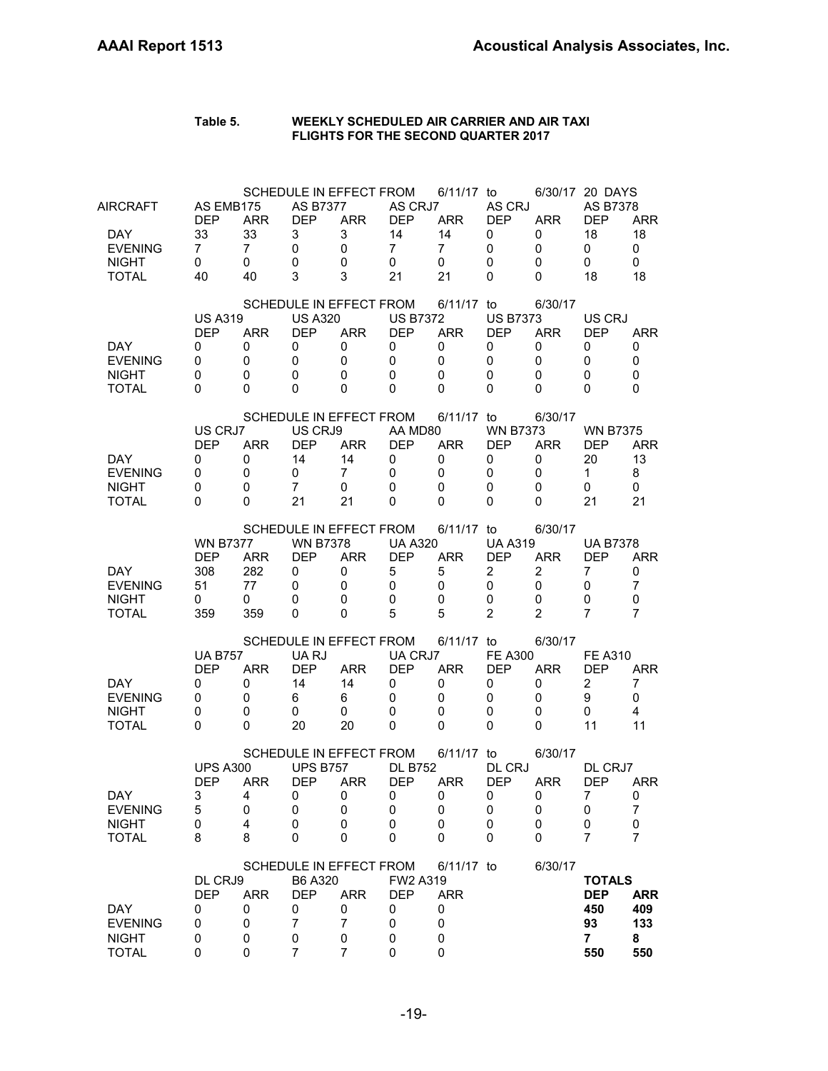| <b>AIRCRAFT</b><br>DAY.<br><b>EVENING</b><br><b>NIGHT</b><br><b>TOTAL</b> | AS EMB175<br><b>DEP</b><br>33<br>$\overline{7}$<br>0<br>40 | <b>ARR</b><br>33<br>$\overline{7}$<br>0<br>40 | <b>AS B7377</b><br><b>DEP</b><br>3<br>0<br>0<br>3                   | SCHEDULE IN EFFECT FROM<br><b>ARR</b><br>3<br>0<br>0<br>3                           | AS CRJ7<br><b>DEP</b><br>14<br>$\overline{7}$<br>0<br>21                  | 6/11/17 to<br><b>ARR</b><br>14<br>$\overline{7}$<br>0<br>21       | AS CRJ<br><b>DEP</b><br>0<br>0<br>0<br>0                               | <b>ARR</b><br>0<br>0<br>0<br>0                                      | 6/30/17 20 DAYS<br>AS B7378<br><b>DEP</b><br>18<br>0<br>0<br>18   | <b>ARR</b><br>18<br>$\mathbf 0$<br>0<br>18  |
|---------------------------------------------------------------------------|------------------------------------------------------------|-----------------------------------------------|---------------------------------------------------------------------|-------------------------------------------------------------------------------------|---------------------------------------------------------------------------|-------------------------------------------------------------------|------------------------------------------------------------------------|---------------------------------------------------------------------|-------------------------------------------------------------------|---------------------------------------------|
| DAY.<br><b>EVENING</b><br><b>NIGHT</b><br><b>TOTAL</b>                    | <b>US A319</b><br><b>DEP</b><br>0<br>0<br>0<br>$\Omega$    | <b>ARR</b><br>0<br>0<br>0<br>0                | <b>US A320</b><br><b>DEP</b><br>0<br>0<br>0<br>0                    | SCHEDULE IN EFFECT FROM<br><b>ARR</b><br>0<br>0<br>0<br>0                           | <b>US B7372</b><br><b>DEP</b><br>0<br>$\mathbf 0$<br>$\Omega$<br>$\Omega$ | 6/11/17 to<br><b>ARR</b><br>0<br>$\Omega$<br>$\Omega$<br>$\Omega$ | <b>US B7373</b><br><b>DEP</b><br>0<br>$\mathbf 0$<br>0<br>$\mathbf{0}$ | 6/30/17<br><b>ARR</b><br>0<br>0<br>0<br>0                           | US CRJ<br><b>DEP</b><br>0<br>0<br>0<br>$\Omega$                   | <b>ARR</b><br>0<br>0<br>0<br>0              |
| DAY.<br><b>EVENING</b><br><b>NIGHT</b><br><b>TOTAL</b>                    | US CRJ7<br><b>DEP</b><br>0<br>0<br>0<br>$\Omega$           | <b>ARR</b><br>0<br>0<br>0<br>$\Omega$         | US CRJ9<br><b>DEP</b><br>14<br>0<br>$\overline{7}$<br>21            | SCHEDULE IN EFFECT FROM<br><b>ARR</b><br>14<br>7<br>0<br>21                         | AA MD80<br><b>DEP</b><br>0<br>$\mathbf 0$<br>$\mathbf{0}$<br>0            | 6/11/17 to<br><b>ARR</b><br>0<br>$\mathbf 0$<br>0<br>0            | <b>WN B7373</b><br><b>DEP</b><br>0<br>0<br>$\mathbf 0$<br>0            | 6/30/17<br><b>ARR</b><br>0<br>0<br>0<br>0                           | <b>WN B7375</b><br><b>DEP</b><br>20<br>$\mathbf{1}$<br>0<br>21    | <b>ARR</b><br>13<br>8<br>0<br>21            |
| DAY.<br><b>EVENING</b><br><b>NIGHT</b><br><b>TOTAL</b>                    | <b>WN B7377</b><br><b>DEP</b><br>308<br>51<br>0<br>359     | <b>ARR</b><br>282<br>77<br>0<br>359           | <b>WN B7378</b><br><b>DEP</b><br>0<br>0<br>0<br>0                   | SCHEDULE IN EFFECT FROM<br><b>ARR</b><br>0<br>0<br>0<br>$\Omega$                    | <b>UA A320</b><br><b>DEP</b><br>5<br>0<br>$\mathbf 0$<br>5                | 6/11/17 to<br><b>ARR</b><br>5<br>0<br>0<br>5                      | <b>UA A319</b><br><b>DEP</b><br>2<br>0<br>0<br>$\overline{2}$          | 6/30/17<br><b>ARR</b><br>$\overline{2}$<br>0<br>0<br>$\overline{2}$ | <b>UA B7378</b><br>DEP<br>7<br>0<br>0<br>7                        | <b>ARR</b><br>0<br>$\overline{7}$<br>0<br>7 |
| DAY.<br><b>EVENING</b><br><b>NIGHT</b><br><b>TOTAL</b>                    | <b>UA B757</b><br><b>DEP</b><br>0<br>0<br>0<br>0           | <b>ARR</b><br>0<br>0<br>0<br>$\Omega$         | UA RJ<br><b>DEP</b><br>14<br>6<br>0<br>20                           | SCHEDULE IN EFFECT FROM<br><b>ARR</b><br>14<br>6<br>0<br>20                         | UA CRJ7<br><b>DEP</b><br>0<br>0<br>0<br>0                                 | 6/11/17 to<br><b>ARR</b><br>0<br>0<br>0<br>$\Omega$               | <b>FE A300</b><br><b>DEP</b><br>0<br>0<br>0<br>0                       | 6/30/17<br><b>ARR</b><br>0<br>0<br>0<br>0                           | <b>FE A310</b><br><b>DEP</b><br>2<br>9<br>0<br>11                 | ARR<br>7<br>0<br>4<br>11                    |
| DAY<br><b>EVENING</b><br><b>NIGHT</b><br><b>TOTAL</b>                     | <b>UPS A300</b><br><b>DEP</b><br>3<br>5<br>0<br>8          | <b>ARR</b><br>4<br>0<br>4<br>8                | <b>UPS B757</b><br><b>DEP</b><br>0<br>0<br>0<br>0                   | SCHEDULE IN EFFECT FROM<br><b>ARR</b><br>0<br>0<br>0<br>0                           | <b>DL B752</b><br><b>DEP</b><br>0<br>0<br>0<br>0                          | 6/11/17 to<br><b>ARR</b><br>O<br>0<br>0<br>0                      | DL CRJ<br><b>DEP</b><br>0<br>0<br>0<br>0                               | 6/30/17<br><b>ARR</b><br>0<br>0<br>0<br>0                           | DL CRJ7<br><b>DEP</b><br>7<br>0<br>0<br>7                         | <b>ARR</b><br>0<br>$\overline{7}$<br>0<br>7 |
| <b>DAY</b><br><b>EVENING</b><br><b>NIGHT</b><br><b>TOTAL</b>              | DL CRJ9<br><b>DEP</b><br>0<br>0<br>0<br>0                  | <b>ARR</b><br>0<br>0<br>0<br>0                | B6 A320<br><b>DEP</b><br>0<br>$\overline{7}$<br>0<br>$\overline{7}$ | SCHEDULE IN EFFECT FROM<br><b>ARR</b><br>0<br>$\overline{7}$<br>0<br>$\overline{7}$ | FW2 A319<br><b>DEP</b><br>0<br>0<br>0<br>0                                | 6/11/17 to<br><b>ARR</b><br>0<br>0<br>0<br>0                      |                                                                        | 6/30/17                                                             | <b>TOTALS</b><br><b>DEP</b><br>450<br>93<br>$\overline{7}$<br>550 | <b>ARR</b><br>409<br>133<br>8<br>550        |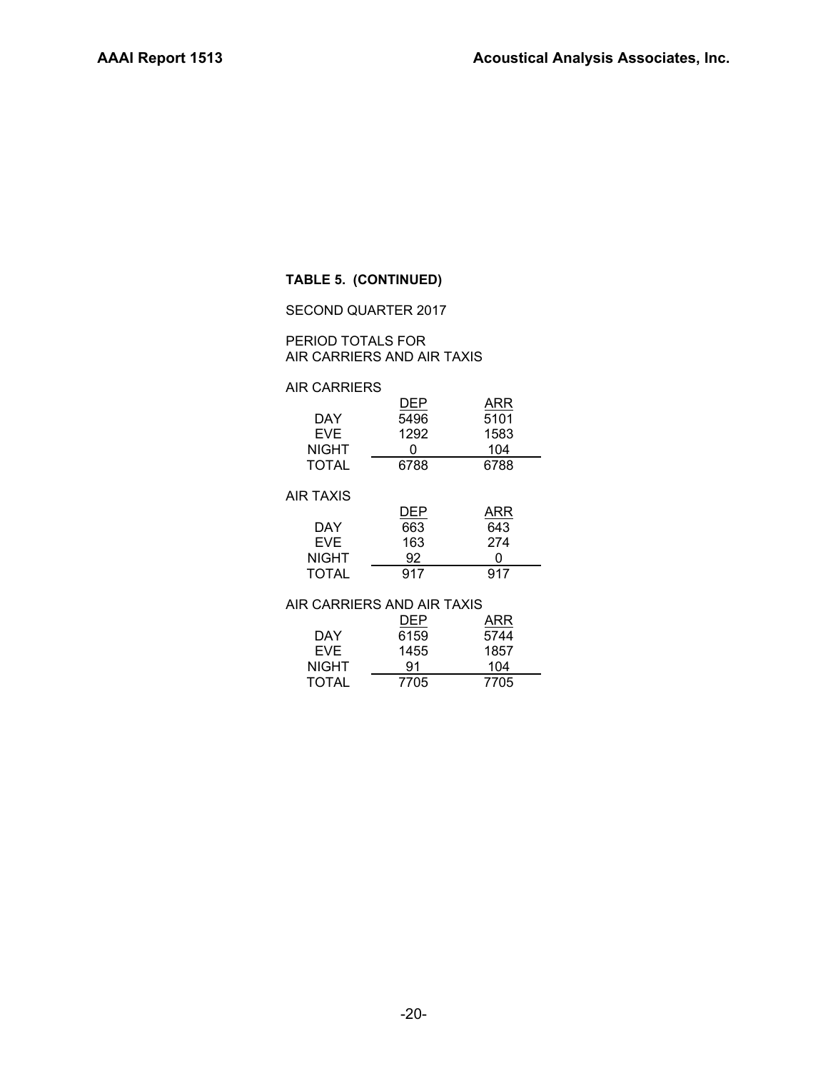# **TABLE 5. (CONTINUED)**

SECOND QUARTER 2017

# PERIOD TOTALS FOR AIR CARRIERS AND AIR TAXIS

# AIR CARRIERS

|                  | DEP        | ARR  |  |
|------------------|------------|------|--|
| DAY              | 5496       | 5101 |  |
| <b>EVE</b>       | 1292       | 1583 |  |
| <b>NIGHT</b>     | ი          | 104  |  |
| <b>TOTAL</b>     | 6788       | 6788 |  |
| <b>AIR TAXIS</b> |            |      |  |
|                  | <b>DEP</b> | ARR  |  |
| DAY              | 663        | 643  |  |
| ᇊᄹ               | 100        | 271  |  |

| FVF.         | 163 | 274 |
|--------------|-----|-----|
| <b>NIGHT</b> | 92  |     |
| <b>TOTAL</b> | 917 | 917 |

# AIR CARRIERS AND AIR TAXIS

|              | DEP  | ARR  |
|--------------|------|------|
| DAY          | 6159 | 5744 |
| EVE.         | 1455 | 1857 |
| <b>NIGHT</b> | 91   | 104  |
| <b>TOTAL</b> | 7705 | 7705 |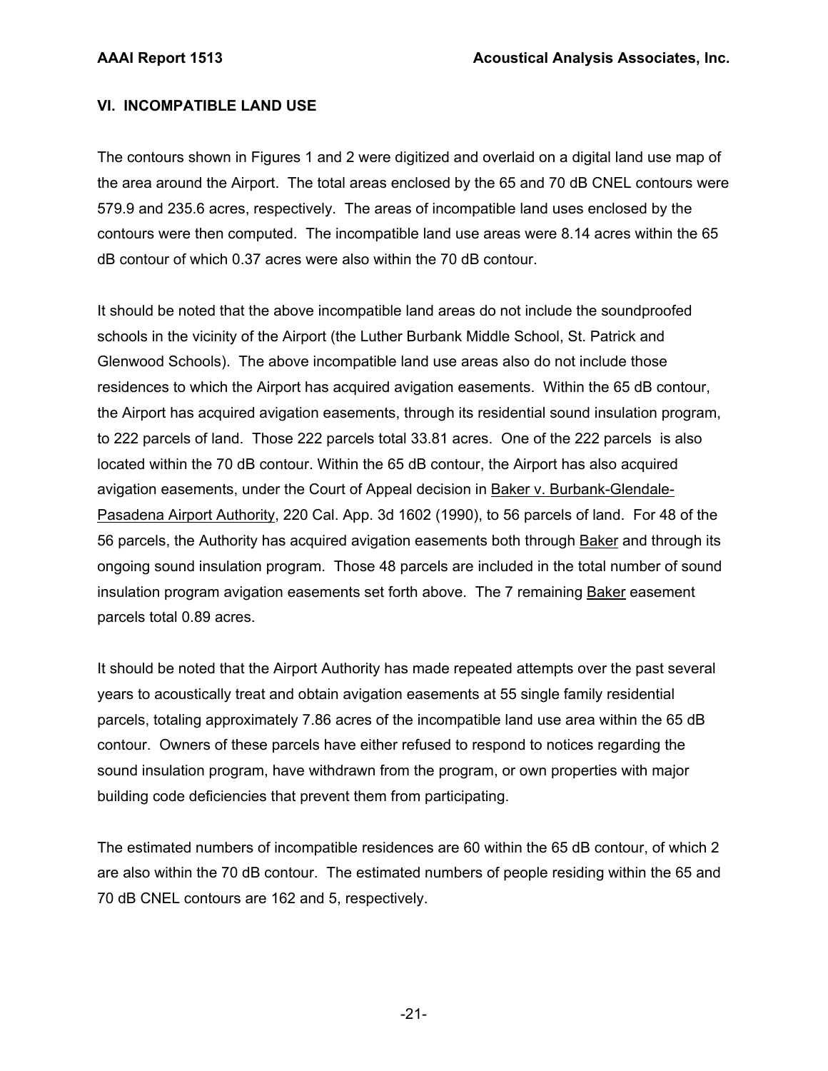# **VI. INCOMPATIBLE LAND USE**

The contours shown in Figures 1 and 2 were digitized and overlaid on a digital land use map of the area around the Airport. The total areas enclosed by the 65 and 70 dB CNEL contours were 579.9 and 235.6 acres, respectively. The areas of incompatible land uses enclosed by the contours were then computed. The incompatible land use areas were 8.14 acres within the 65 dB contour of which 0.37 acres were also within the 70 dB contour.

It should be noted that the above incompatible land areas do not include the soundproofed schools in the vicinity of the Airport (the Luther Burbank Middle School, St. Patrick and Glenwood Schools). The above incompatible land use areas also do not include those residences to which the Airport has acquired avigation easements. Within the 65 dB contour, the Airport has acquired avigation easements, through its residential sound insulation program, to 222 parcels of land. Those 222 parcels total 33.81 acres. One of the 222 parcels is also located within the 70 dB contour. Within the 65 dB contour, the Airport has also acquired avigation easements, under the Court of Appeal decision in Baker v. Burbank-Glendale-Pasadena Airport Authority, 220 Cal. App. 3d 1602 (1990), to 56 parcels of land. For 48 of the 56 parcels, the Authority has acquired avigation easements both through Baker and through its ongoing sound insulation program. Those 48 parcels are included in the total number of sound insulation program avigation easements set forth above. The 7 remaining Baker easement parcels total 0.89 acres.

It should be noted that the Airport Authority has made repeated attempts over the past several years to acoustically treat and obtain avigation easements at 55 single family residential parcels, totaling approximately 7.86 acres of the incompatible land use area within the 65 dB contour. Owners of these parcels have either refused to respond to notices regarding the sound insulation program, have withdrawn from the program, or own properties with major building code deficiencies that prevent them from participating.

The estimated numbers of incompatible residences are 60 within the 65 dB contour, of which 2 are also within the 70 dB contour. The estimated numbers of people residing within the 65 and 70 dB CNEL contours are 162 and 5, respectively.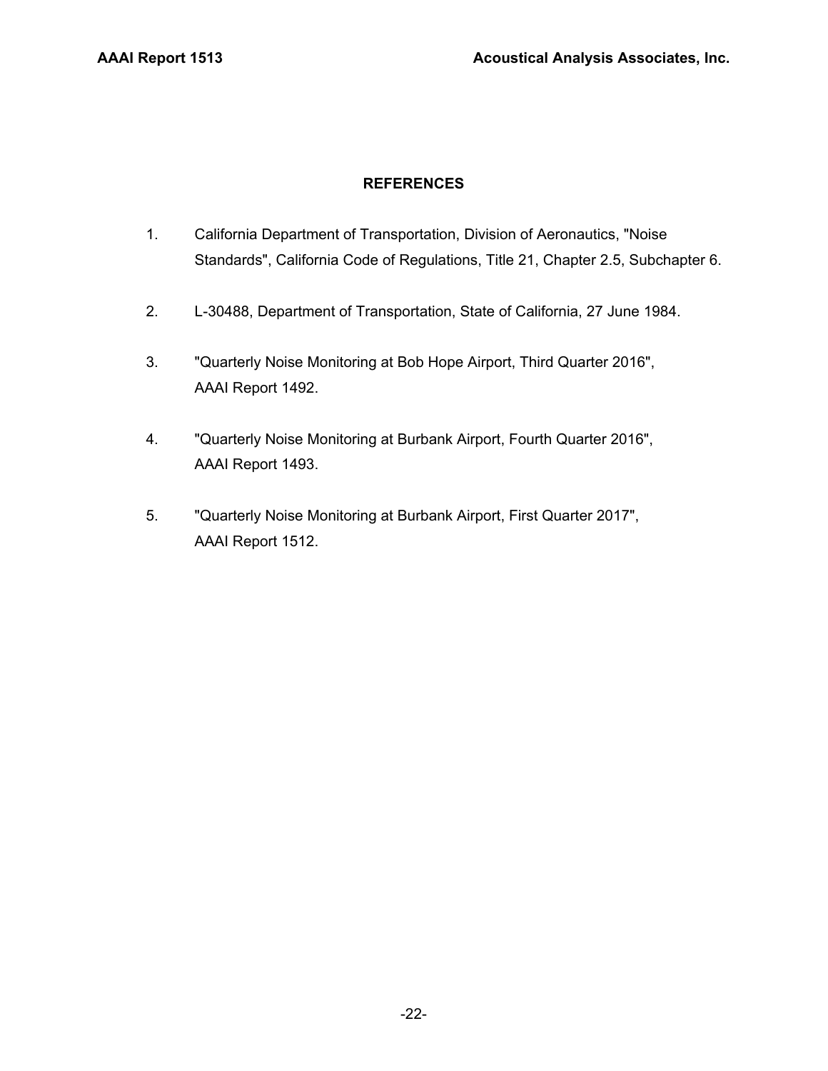# **REFERENCES**

- 1. California Department of Transportation, Division of Aeronautics, "Noise Standards", California Code of Regulations, Title 21, Chapter 2.5, Subchapter 6.
- 2. L-30488, Department of Transportation, State of California, 27 June 1984.
- 3. "Quarterly Noise Monitoring at Bob Hope Airport, Third Quarter 2016", AAAI Report 1492.
- 4. "Quarterly Noise Monitoring at Burbank Airport, Fourth Quarter 2016", AAAI Report 1493.
- 5. "Quarterly Noise Monitoring at Burbank Airport, First Quarter 2017", AAAI Report 1512.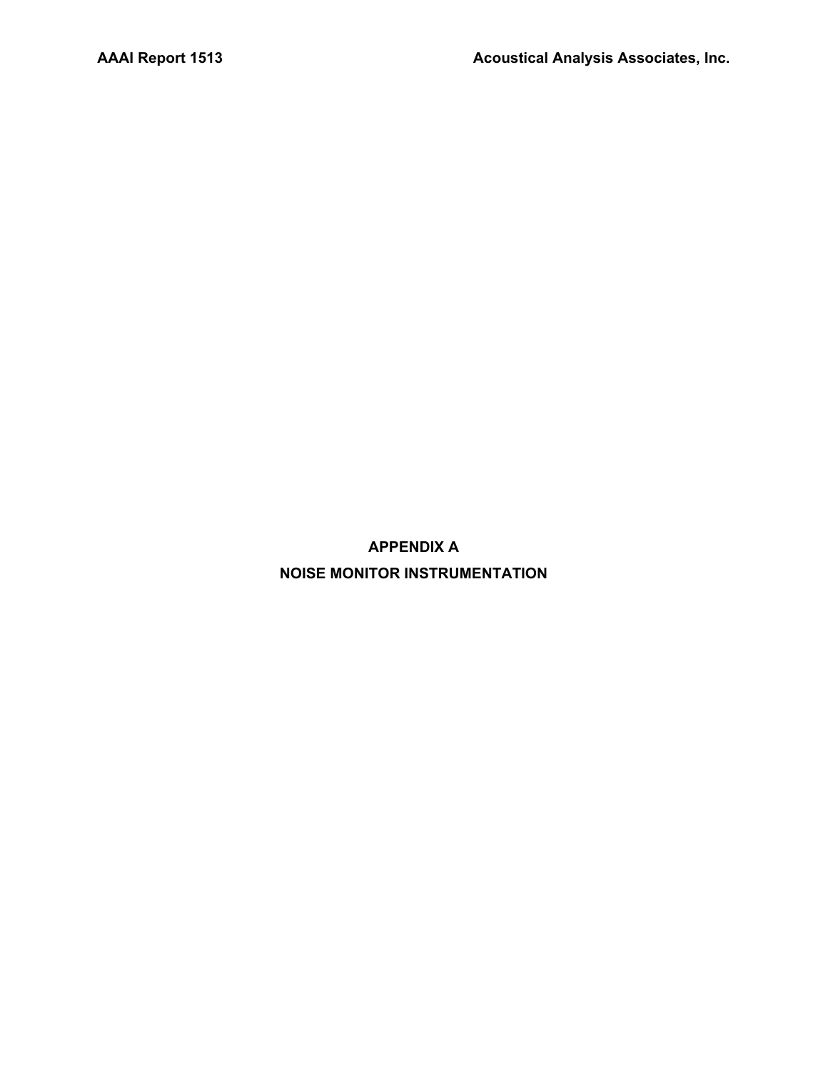**APPENDIX A NOISE MONITOR INSTRUMENTATION**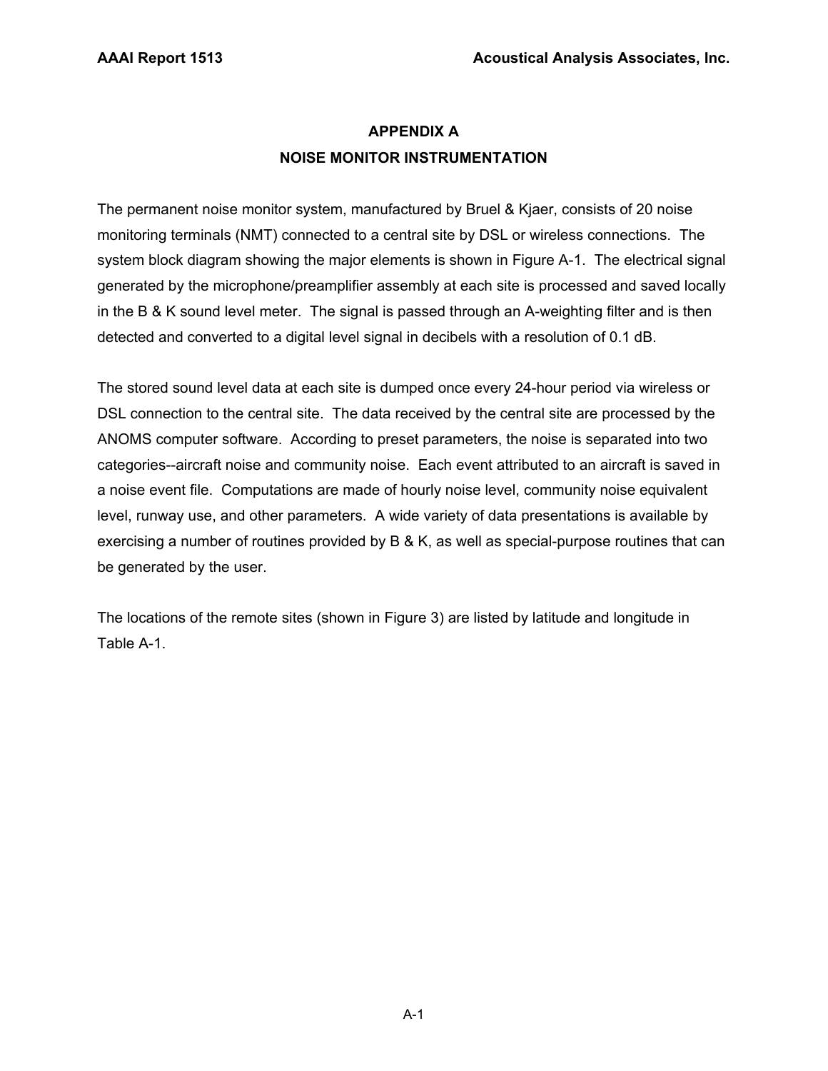# **APPENDIX A NOISE MONITOR INSTRUMENTATION**

The permanent noise monitor system, manufactured by Bruel & Kjaer, consists of 20 noise monitoring terminals (NMT) connected to a central site by DSL or wireless connections. The system block diagram showing the major elements is shown in Figure A-1. The electrical signal generated by the microphone/preamplifier assembly at each site is processed and saved locally in the B & K sound level meter. The signal is passed through an A-weighting filter and is then detected and converted to a digital level signal in decibels with a resolution of 0.1 dB.

The stored sound level data at each site is dumped once every 24-hour period via wireless or DSL connection to the central site. The data received by the central site are processed by the ANOMS computer software. According to preset parameters, the noise is separated into two categories--aircraft noise and community noise. Each event attributed to an aircraft is saved in a noise event file. Computations are made of hourly noise level, community noise equivalent level, runway use, and other parameters. A wide variety of data presentations is available by exercising a number of routines provided by B & K, as well as special-purpose routines that can be generated by the user.

The locations of the remote sites (shown in Figure 3) are listed by latitude and longitude in Table A-1.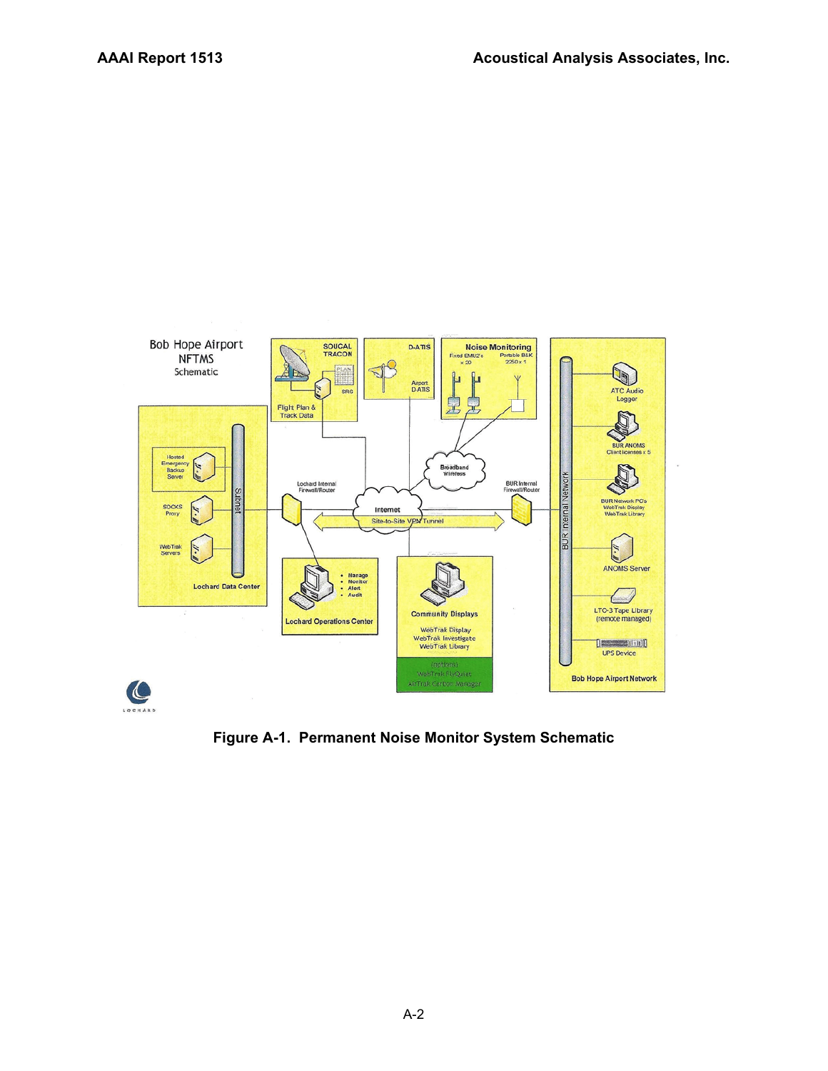

**Figure A-1. Permanent Noise Monitor System Schematic**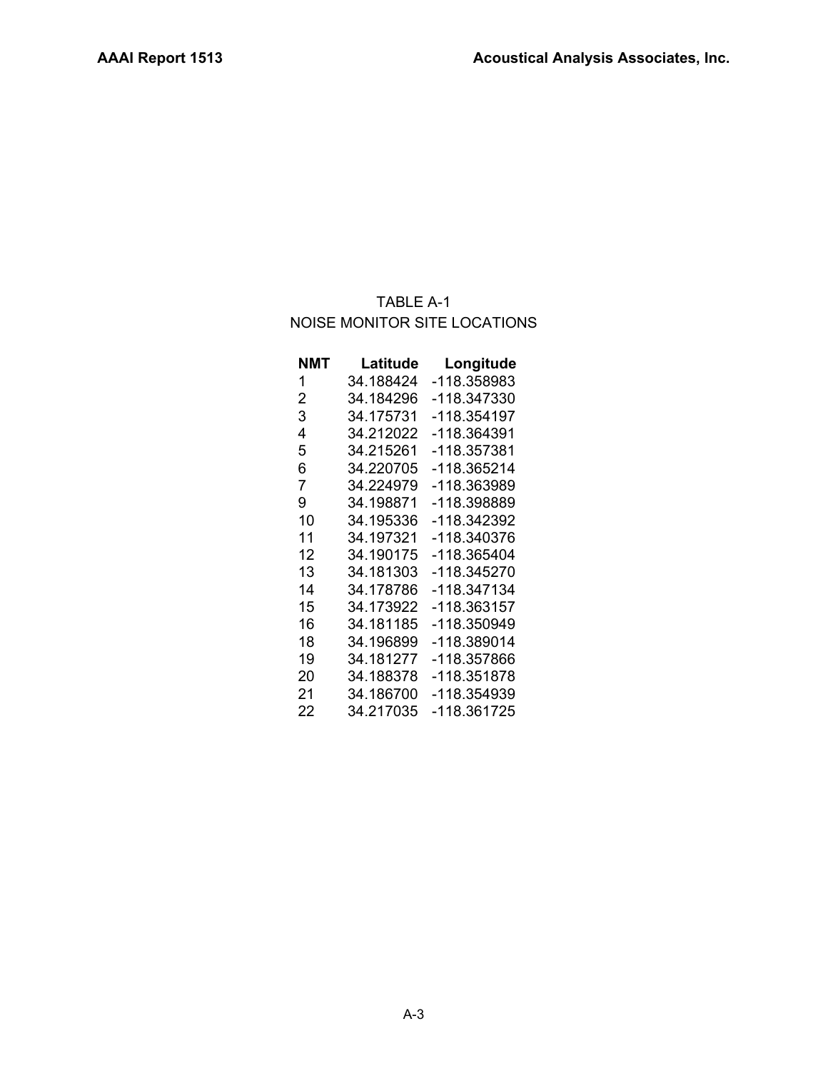# TABLE A-1 NOISE MONITOR SITE LOCATIONS

| NMT            | Latitude  | Longitude   |
|----------------|-----------|-------------|
| 1              | 34.188424 | -118.358983 |
| $\overline{2}$ | 34.184296 | -118.347330 |
| 3              | 34.175731 | -118.354197 |
| 4              | 34.212022 | -118.364391 |
| 5              | 34.215261 | -118.357381 |
| 6              | 34.220705 | -118.365214 |
| 7              | 34.224979 | -118.363989 |
| 9              | 34.198871 | -118.398889 |
| 10             | 34.195336 | -118.342392 |
| 11             | 34.197321 | -118.340376 |
| 12             | 34.190175 | -118.365404 |
| 13             | 34.181303 | -118.345270 |
| 14             | 34.178786 | -118.347134 |
| 15             | 34.173922 | -118.363157 |
| 16             | 34.181185 | -118.350949 |
| 18             | 34.196899 | -118.389014 |
| 19             | 34.181277 | -118.357866 |
| 20             | 34.188378 | -118.351878 |
| 21             | 34.186700 | -118.354939 |
| 22             | 34.217035 | -118.361725 |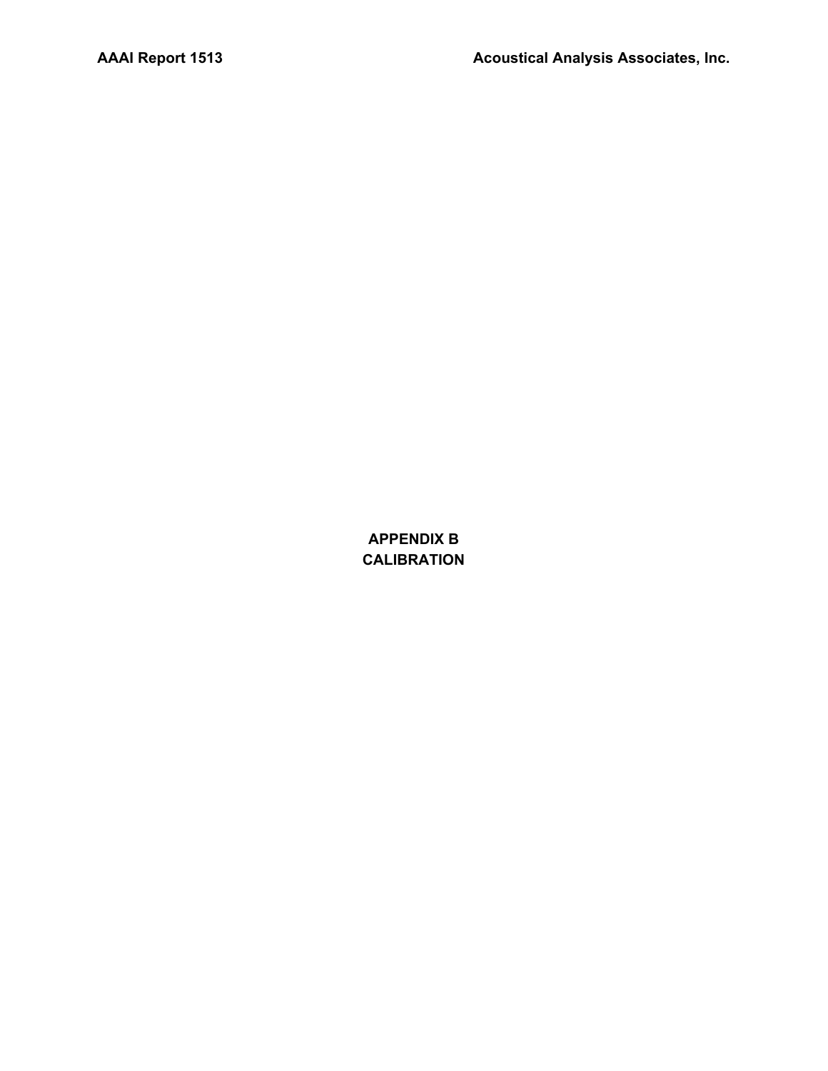**APPENDIX B CALIBRATION**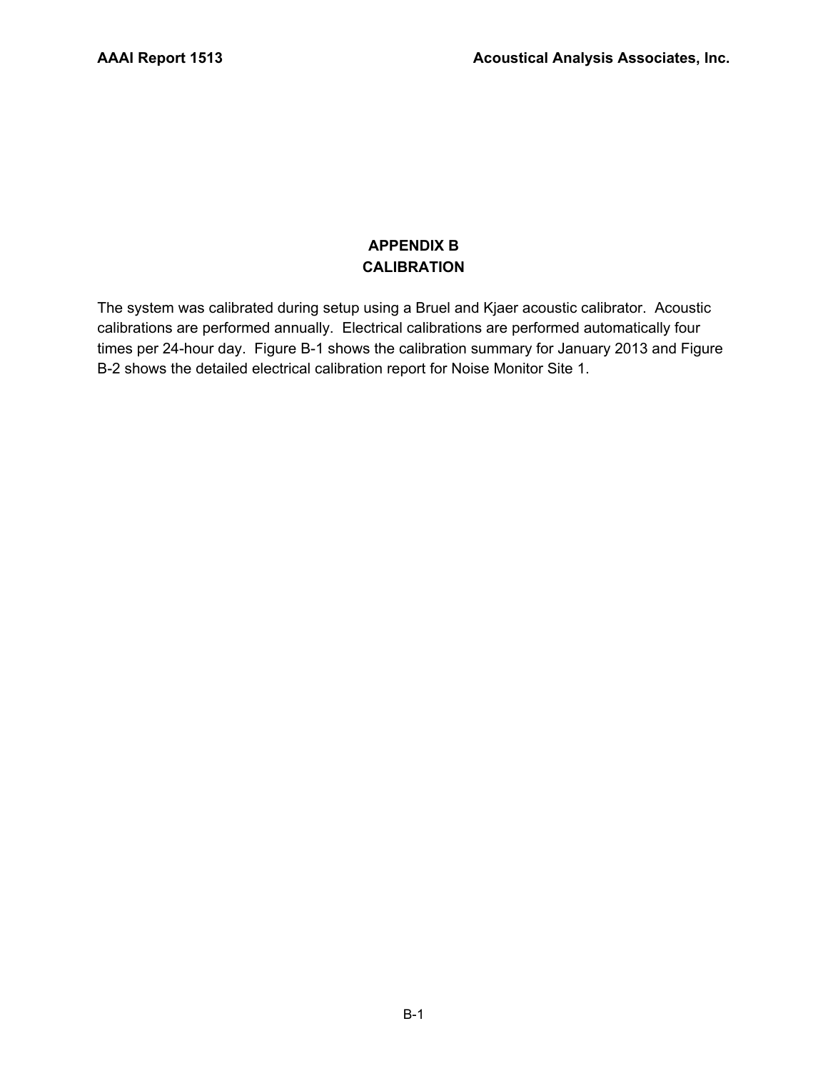# **APPENDIX B CALIBRATION**

The system was calibrated during setup using a Bruel and Kjaer acoustic calibrator. Acoustic calibrations are performed annually. Electrical calibrations are performed automatically four times per 24-hour day. Figure B-1 shows the calibration summary for January 2013 and Figure B-2 shows the detailed electrical calibration report for Noise Monitor Site 1.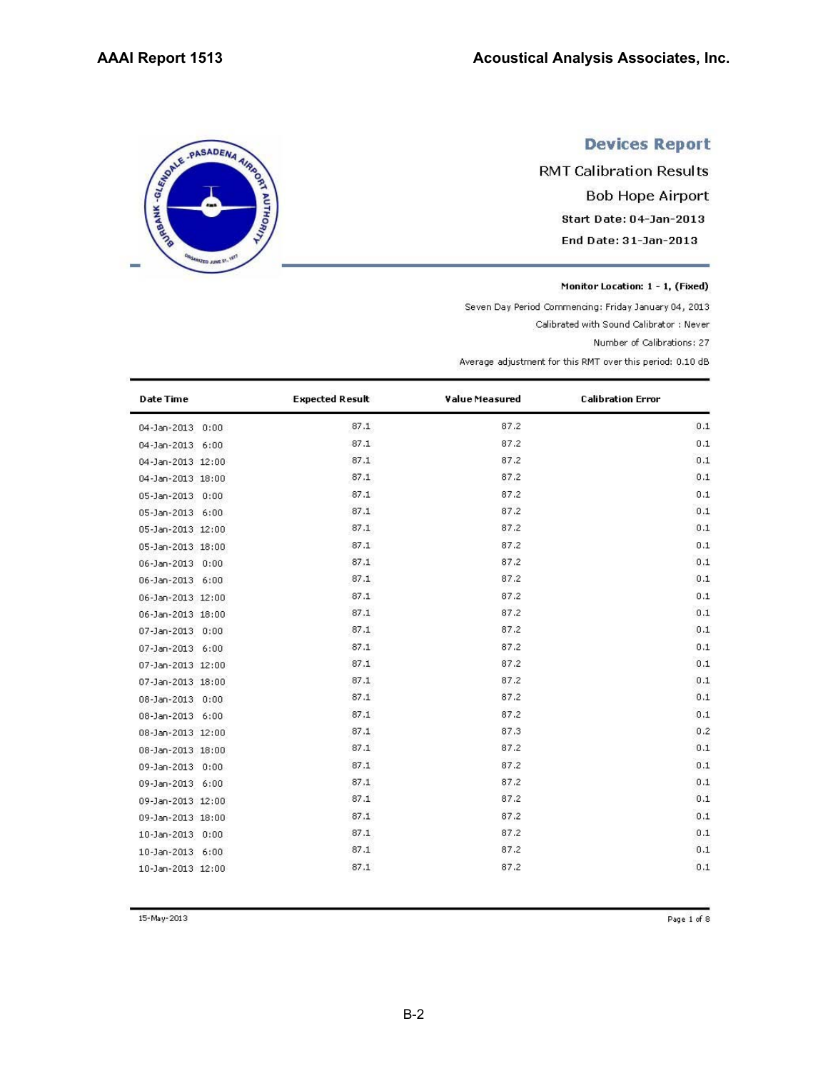# SERIE - PASADENA AIRING

TO JUNE 21

# **Devices Report**

**RMT Calibration Results Bob Hope Airport** Start Date: 04-Jan-2013 End Date: 31-Jan-2013

Monitor Location: 1 - 1, (Fixed)

Seven Day Period Commencing: Friday January 04, 2013

Calibrated with Sound Calibrator : Never

Number of Calibrations: 27

Average adjustment for this RMT over this period: 0.10 dB

| <b>Date Time</b>  | <b>Expected Result</b> | Value Measured | <b>Calibration Error</b> |
|-------------------|------------------------|----------------|--------------------------|
| 04-Jan-2013 0:00  | 87.1                   | 87.2           | 0.1                      |
| 04-Jan-2013 6:00  | 87.1                   | 87.2           | 0.1                      |
| 04-Jan-2013 12:00 | 87.1                   | 87.2           | 0.1                      |
| 04-Jan-2013 18:00 | 87.1                   | 87.2           | 0.1                      |
| 05-Jan-2013 0:00  | 87.1                   | 87.2           | 0.1                      |
| 05-Jan-2013 6:00  | 87.1                   | 87.2           | 0.1                      |
| 05-Jan-2013 12:00 | 87.1                   | 87.2           | 0.1                      |
| 05-Jan-2013 18:00 | 87.1                   | 87.2           | 0.1                      |
| 06-Jan-2013 0:00  | 87.1                   | 87.2           | 0.1                      |
| 06-Jan-2013 6:00  | 87.1                   | 87.2           | 0.1                      |
| 06-Jan-2013 12:00 | 87.1                   | 87.2           | 0.1                      |
| 06-Jan-2013 18:00 | 87.1                   | 87.2           | 0.1                      |
| 07-Jan-2013 0:00  | 87.1                   | 87.2           | 0.1                      |
| 07-Jan-2013 6:00  | 87.1                   | 87.2           | 0.1                      |
| 07-Jan-2013 12:00 | 87.1                   | 87.2           | 0.1                      |
| 07-Jan-2013 18:00 | 87.1                   | 87.2           | 0.1                      |
| 08-Jan-2013 0:00  | 87.1                   | 87.2           | 0.1                      |
| 08-Jan-2013 6:00  | 87.1                   | 87.2           | 0.1                      |
| 08-Jan-2013 12:00 | 87.1                   | 87.3           | 0.2                      |
| 08-Jan-2013 18:00 | 87.1                   | 87.2           | 0.1                      |
| 09-Jan-2013 0:00  | 87.1                   | 87.2           | 0.1                      |
| 09-Jan-2013 6:00  | 87.1                   | 87.2           | 0.1                      |
| 09-Jan-2013 12:00 | 87.1                   | 87.2           | 0.1                      |
| 09-Jan-2013 18:00 | 87.1                   | 87.2           | 0.1                      |
| 10-Jan-2013 0:00  | 87.1                   | 87.2           | 0.1                      |
| 10-Jan-2013 6:00  | 87.1                   | 87.2           | 0.1                      |
| 10-Jan-2013 12:00 | 87.1                   | 87.2           | 0.1                      |

15-May-2013

Page 1 of 8